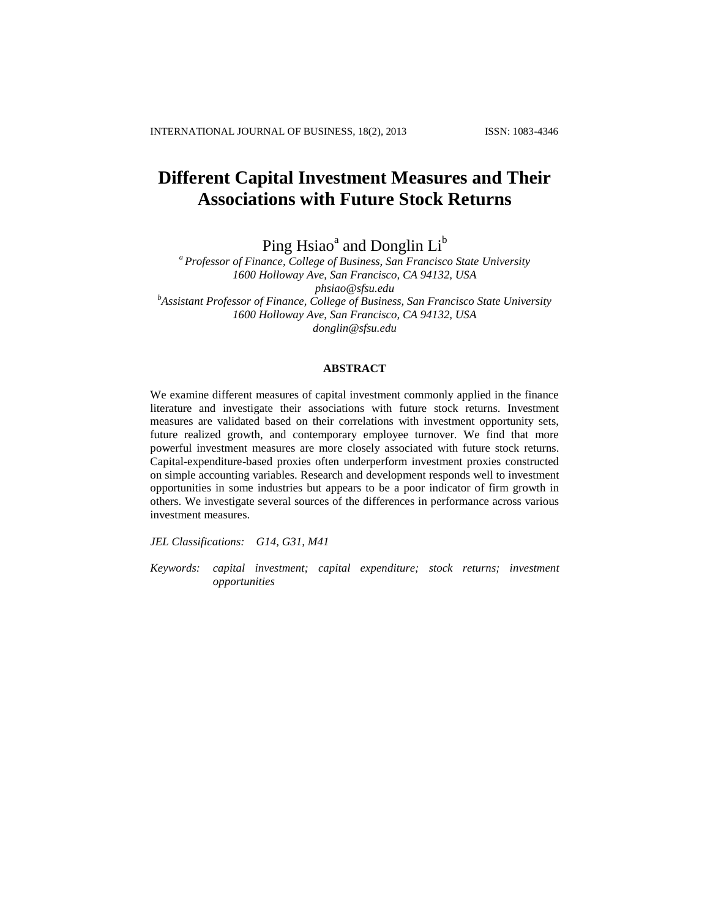# **Different Capital Investment Measures and Their Associations with Future Stock Returns**

Ping Hsiao<sup>a</sup> and Donglin  $\operatorname{Li}^\mathfrak{b}$ 

*<sup>a</sup> Professor of Finance, College of Business, San Francisco State University 1600 Holloway Ave, San Francisco, CA 94132, USA [phsiao@sfsu.edu](mailto:phsiao@sfsu.edu) b Assistant Professor of Finance, College of Business, San Francisco State University 1600 Holloway Ave, San Francisco, CA 94132, USA [donglin@sfsu.edu](mailto:donglin@sfsu.edu)*

### **ABSTRACT**

We examine different measures of capital investment commonly applied in the finance literature and investigate their associations with future stock returns. Investment measures are validated based on their correlations with investment opportunity sets, future realized growth, and contemporary employee turnover. We find that more powerful investment measures are more closely associated with future stock returns. Capital-expenditure-based proxies often underperform investment proxies constructed on simple accounting variables. Research and development responds well to investment opportunities in some industries but appears to be a poor indicator of firm growth in others. We investigate several sources of the differences in performance across various investment measures.

*JEL Classifications: G14, G31, M41* 

*Keywords: capital investment; capital expenditure; stock returns; investment opportunities*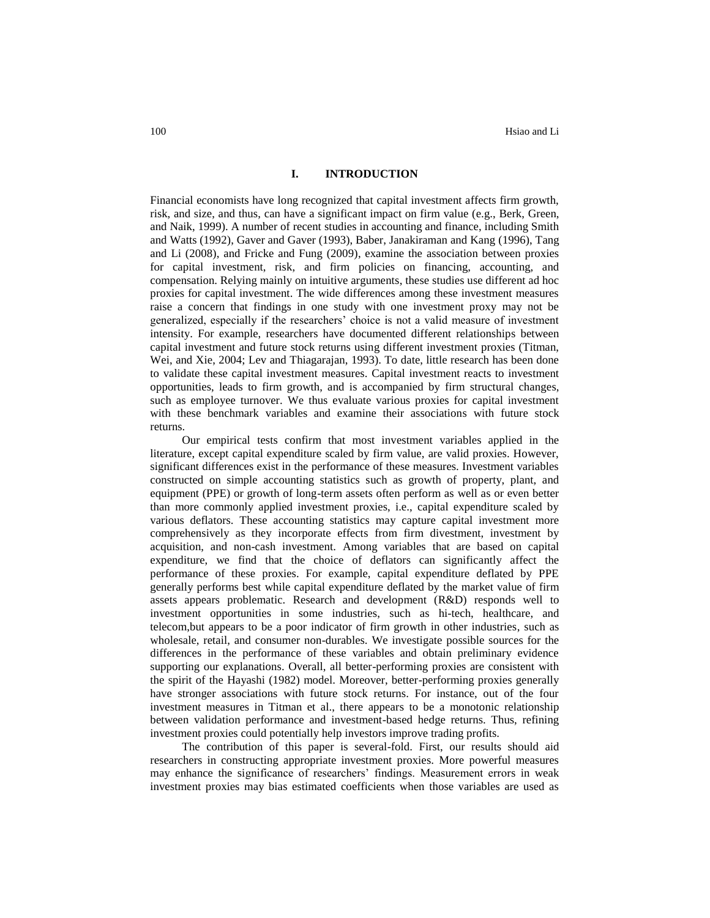### **I. INTRODUCTION**

Financial economists have long recognized that capital investment affects firm growth, risk, and size, and thus, can have a significant impact on firm value (e.g., Berk, Green, and Naik, 1999). A number of recent studies in accounting and finance, including Smith and Watts (1992), Gaver and Gaver (1993), Baber, Janakiraman and Kang (1996), Tang and Li (2008), and Fricke and Fung (2009), examine the association between proxies for capital investment, risk, and firm policies on financing, accounting, and compensation. Relying mainly on intuitive arguments, these studies use different ad hoc proxies for capital investment. The wide differences among these investment measures raise a concern that findings in one study with one investment proxy may not be generalized, especially if the researchers' choice is not a valid measure of investment intensity. For example, researchers have documented different relationships between capital investment and future stock returns using different investment proxies (Titman, Wei, and Xie, 2004; Lev and Thiagarajan, 1993). To date, little research has been done to validate these capital investment measures. Capital investment reacts to investment opportunities, leads to firm growth, and is accompanied by firm structural changes, such as employee turnover. We thus evaluate various proxies for capital investment with these benchmark variables and examine their associations with future stock returns.

Our empirical tests confirm that most investment variables applied in the literature, except capital expenditure scaled by firm value, are valid proxies. However, significant differences exist in the performance of these measures. Investment variables constructed on simple accounting statistics such as growth of property, plant, and equipment (PPE) or growth of long-term assets often perform as well as or even better than more commonly applied investment proxies, i.e., capital expenditure scaled by various deflators. These accounting statistics may capture capital investment more comprehensively as they incorporate effects from firm divestment, investment by acquisition, and non-cash investment. Among variables that are based on capital expenditure, we find that the choice of deflators can significantly affect the performance of these proxies. For example, capital expenditure deflated by PPE generally performs best while capital expenditure deflated by the market value of firm assets appears problematic. Research and development (R&D) responds well to investment opportunities in some industries, such as hi-tech, healthcare, and telecom,but appears to be a poor indicator of firm growth in other industries, such as wholesale, retail, and consumer non-durables. We investigate possible sources for the differences in the performance of these variables and obtain preliminary evidence supporting our explanations. Overall, all better-performing proxies are consistent with the spirit of the Hayashi (1982) model. Moreover, better-performing proxies generally have stronger associations with future stock returns. For instance, out of the four investment measures in Titman et al., there appears to be a monotonic relationship between validation performance and investment-based hedge returns. Thus, refining investment proxies could potentially help investors improve trading profits.

The contribution of this paper is several-fold. First, our results should aid researchers in constructing appropriate investment proxies. More powerful measures may enhance the significance of researchers' findings. Measurement errors in weak investment proxies may bias estimated coefficients when those variables are used as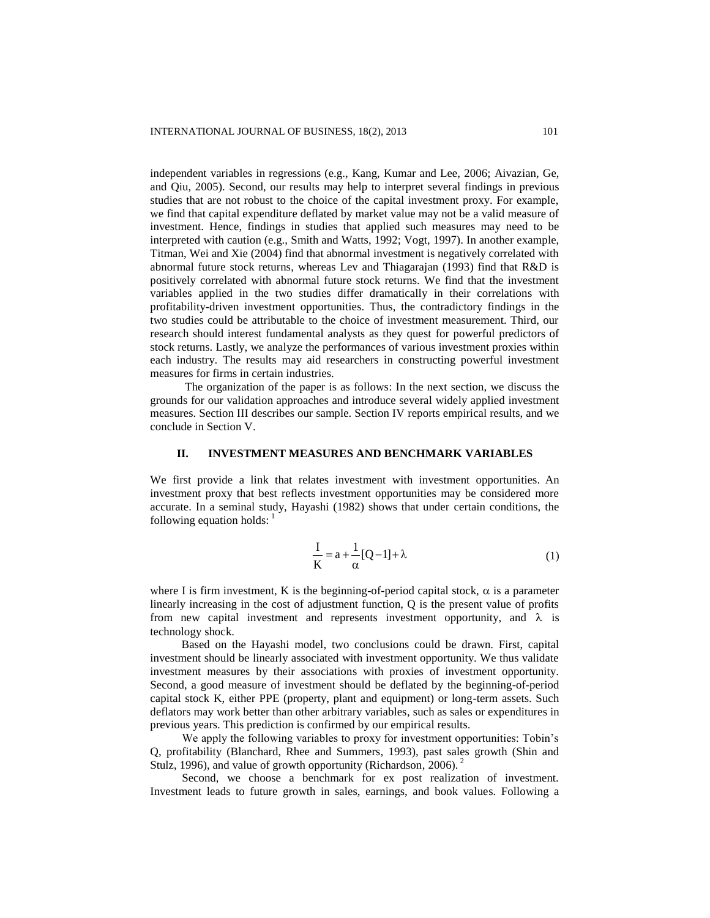independent variables in regressions (e.g., Kang, Kumar and Lee, 2006; Aivazian, Ge, and Qiu, 2005). Second, our results may help to interpret several findings in previous studies that are not robust to the choice of the capital investment proxy. For example, we find that capital expenditure deflated by market value may not be a valid measure of investment. Hence, findings in studies that applied such measures may need to be interpreted with caution (e.g., Smith and Watts, 1992; Vogt, 1997). In another example, Titman, Wei and Xie (2004) find that abnormal investment is negatively correlated with abnormal future stock returns, whereas Lev and Thiagarajan (1993) find that R&D is positively correlated with abnormal future stock returns. We find that the investment variables applied in the two studies differ dramatically in their correlations with profitability-driven investment opportunities. Thus, the contradictory findings in the two studies could be attributable to the choice of investment measurement. Third, our research should interest fundamental analysts as they quest for powerful predictors of stock returns. Lastly, we analyze the performances of various investment proxies within each industry. The results may aid researchers in constructing powerful investment measures for firms in certain industries.

The organization of the paper is as follows: In the next section, we discuss the grounds for our validation approaches and introduce several widely applied investment measures. Section III describes our sample. Section IV reports empirical results, and we conclude in Section V.

# **II. INVESTMENT MEASURES AND BENCHMARK VARIABLES**

We first provide a link that relates investment with investment opportunities. An investment proxy that best reflects investment opportunities may be considered more accurate. In a seminal study, Hayashi (1982) shows that under certain conditions, the following equation holds:  $\frac{1}{1}$ 

$$
\frac{I}{K} = a + \frac{1}{\alpha} [Q - 1] + \lambda
$$
 (1)

where I is firm investment, K is the beginning-of-period capital stock,  $\alpha$  is a parameter linearly increasing in the cost of adjustment function, Q is the present value of profits from new capital investment and represents investment opportunity, and  $\lambda$  is technology shock.

Based on the Hayashi model, two conclusions could be drawn. First, capital investment should be linearly associated with investment opportunity. We thus validate investment measures by their associations with proxies of investment opportunity. Second, a good measure of investment should be deflated by the beginning-of-period capital stock K, either PPE (property, plant and equipment) or long-term assets. Such deflators may work better than other arbitrary variables, such as sales or expenditures in previous years. This prediction is confirmed by our empirical results.

We apply the following variables to proxy for investment opportunities: Tobin's Q, profitability (Blanchard, Rhee and Summers, 1993), past sales growth (Shin and Stulz, 1996), and value of growth opportunity (Richardson, 2006).<sup>2</sup>

Second, we choose a benchmark for ex post realization of investment. Investment leads to future growth in sales, earnings, and book values. Following a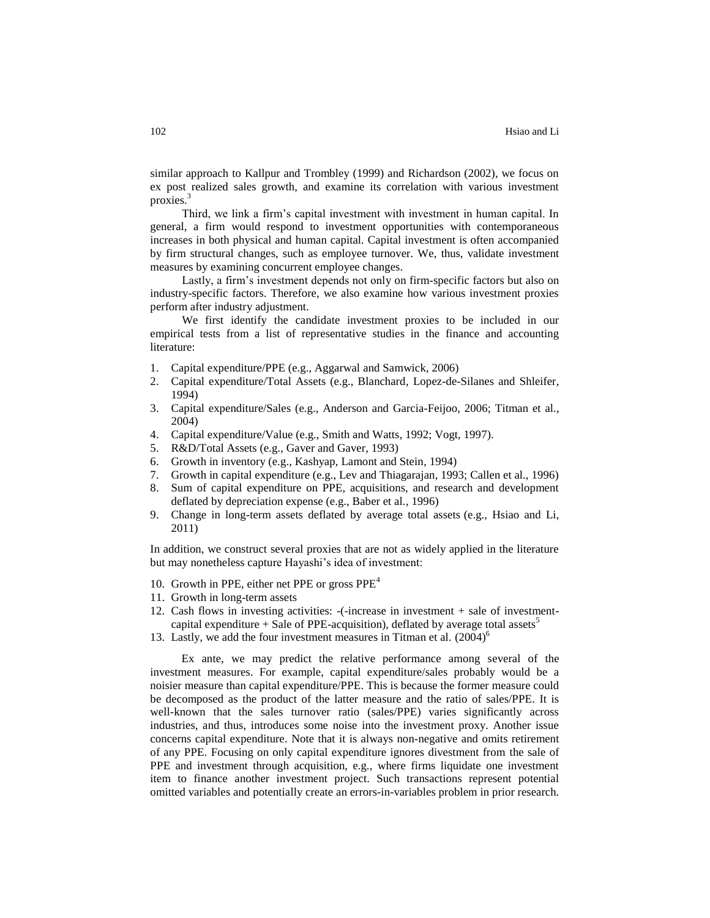similar approach to Kallpur and Trombley (1999) and Richardson (2002), we focus on ex post realized sales growth, and examine its correlation with various investment proxies.<sup>3</sup>

Third, we link a firm's capital investment with investment in human capital. In general, a firm would respond to investment opportunities with contemporaneous increases in both physical and human capital. Capital investment is often accompanied by firm structural changes, such as employee turnover. We, thus, validate investment measures by examining concurrent employee changes.

Lastly, a firm's investment depends not only on firm-specific factors but also on industry-specific factors. Therefore, we also examine how various investment proxies perform after industry adjustment.

We first identify the candidate investment proxies to be included in our empirical tests from a list of representative studies in the finance and accounting literature:

- 1. Capital expenditure/PPE (e.g., Aggarwal and Samwick, 2006)
- 2. Capital expenditure/Total Assets (e.g., Blanchard, Lopez-de-Silanes and Shleifer, 1994)
- 3. Capital expenditure/Sales (e.g., Anderson and Garcia-Feijoo, 2006; Titman et al., 2004)
- 4. Capital expenditure/Value (e.g., Smith and Watts, 1992; Vogt, 1997).
- 5. R&D/Total Assets (e.g., Gaver and Gaver, 1993)
- 6. Growth in inventory (e.g., Kashyap, Lamont and Stein, 1994)
- 7. Growth in capital expenditure (e.g., Lev and Thiagarajan, 1993; Callen et al., 1996)
- 8. Sum of capital expenditure on PPE, acquisitions, and research and development deflated by depreciation expense (e.g., Baber et al., 1996)
- 9. Change in long-term assets deflated by average total assets (e.g., Hsiao and Li, 2011)

In addition, we construct several proxies that are not as widely applied in the literature but may nonetheless capture Hayashi's idea of investment:

- 10. Growth in PPE, either net PPE or gross  $PPE<sup>4</sup>$
- 11. Growth in long-term assets
- 12. Cash flows in investing activities: -(-increase in investment + sale of investmentcapital expenditure + Sale of PPE-acquisition), deflated by average total assets<sup>5</sup>
- 13. Lastly, we add the four investment measures in Titman et al.  $(2004)^6$

Ex ante, we may predict the relative performance among several of the investment measures. For example, capital expenditure/sales probably would be a noisier measure than capital expenditure/PPE. This is because the former measure could be decomposed as the product of the latter measure and the ratio of sales/PPE. It is well-known that the sales turnover ratio (sales/PPE) varies significantly across industries, and thus, introduces some noise into the investment proxy. Another issue concerns capital expenditure. Note that it is always non-negative and omits retirement of any PPE. Focusing on only capital expenditure ignores divestment from the sale of PPE and investment through acquisition, e.g., where firms liquidate one investment item to finance another investment project. Such transactions represent potential omitted variables and potentially create an errors-in-variables problem in prior research.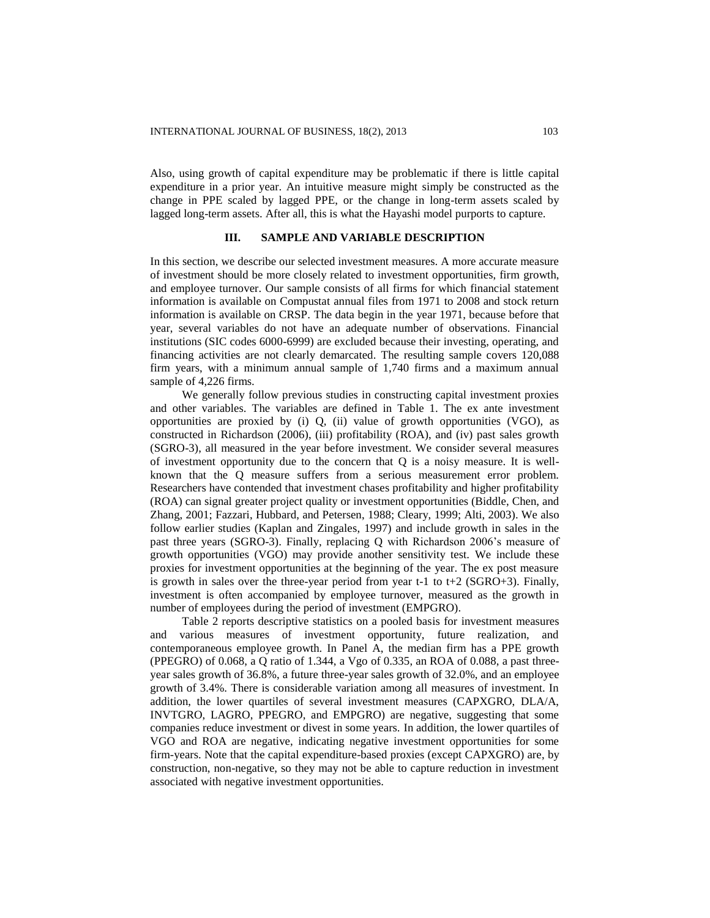Also, using growth of capital expenditure may be problematic if there is little capital expenditure in a prior year. An intuitive measure might simply be constructed as the change in PPE scaled by lagged PPE, or the change in long-term assets scaled by lagged long-term assets. After all, this is what the Hayashi model purports to capture.

# **III. SAMPLE AND VARIABLE DESCRIPTION**

In this section, we describe our selected investment measures. A more accurate measure of investment should be more closely related to investment opportunities, firm growth, and employee turnover. Our sample consists of all firms for which financial statement information is available on Compustat annual files from 1971 to 2008 and stock return information is available on CRSP. The data begin in the year 1971, because before that year, several variables do not have an adequate number of observations. Financial institutions (SIC codes 6000-6999) are excluded because their investing, operating, and financing activities are not clearly demarcated. The resulting sample covers 120,088 firm years, with a minimum annual sample of 1,740 firms and a maximum annual sample of 4,226 firms.

We generally follow previous studies in constructing capital investment proxies and other variables. The variables are defined in Table 1. The ex ante investment opportunities are proxied by  $(i)$  Q,  $(ii)$  value of growth opportunities (VGO), as constructed in Richardson (2006), (iii) profitability (ROA), and (iv) past sales growth (SGRO-3), all measured in the year before investment. We consider several measures of investment opportunity due to the concern that Q is a noisy measure. It is wellknown that the Q measure suffers from a serious measurement error problem. Researchers have contended that investment chases profitability and higher profitability (ROA) can signal greater project quality or investment opportunities (Biddle, Chen, and Zhang, 2001; Fazzari, Hubbard, and Petersen, 1988; Cleary, 1999; Alti, 2003). We also follow earlier studies (Kaplan and Zingales, 1997) and include growth in sales in the past three years (SGRO-3). Finally, replacing Q with Richardson 2006's measure of growth opportunities (VGO) may provide another sensitivity test. We include these proxies for investment opportunities at the beginning of the year. The ex post measure is growth in sales over the three-year period from year t-1 to t+2 ( $SGRO+3$ ). Finally, investment is often accompanied by employee turnover, measured as the growth in number of employees during the period of investment (EMPGRO).

Table 2 reports descriptive statistics on a pooled basis for investment measures and various measures of investment opportunity, future realization, and contemporaneous employee growth. In Panel A, the median firm has a PPE growth (PPEGRO) of 0.068, a Q ratio of 1.344, a Vgo of 0.335, an ROA of 0.088, a past threeyear sales growth of 36.8%, a future three-year sales growth of 32.0%, and an employee growth of 3.4%. There is considerable variation among all measures of investment. In addition, the lower quartiles of several investment measures (CAPXGRO, DLA/A, INVTGRO, LAGRO, PPEGRO, and EMPGRO) are negative, suggesting that some companies reduce investment or divest in some years. In addition, the lower quartiles of VGO and ROA are negative, indicating negative investment opportunities for some firm-years. Note that the capital expenditure-based proxies (except CAPXGRO) are, by construction, non-negative, so they may not be able to capture reduction in investment associated with negative investment opportunities.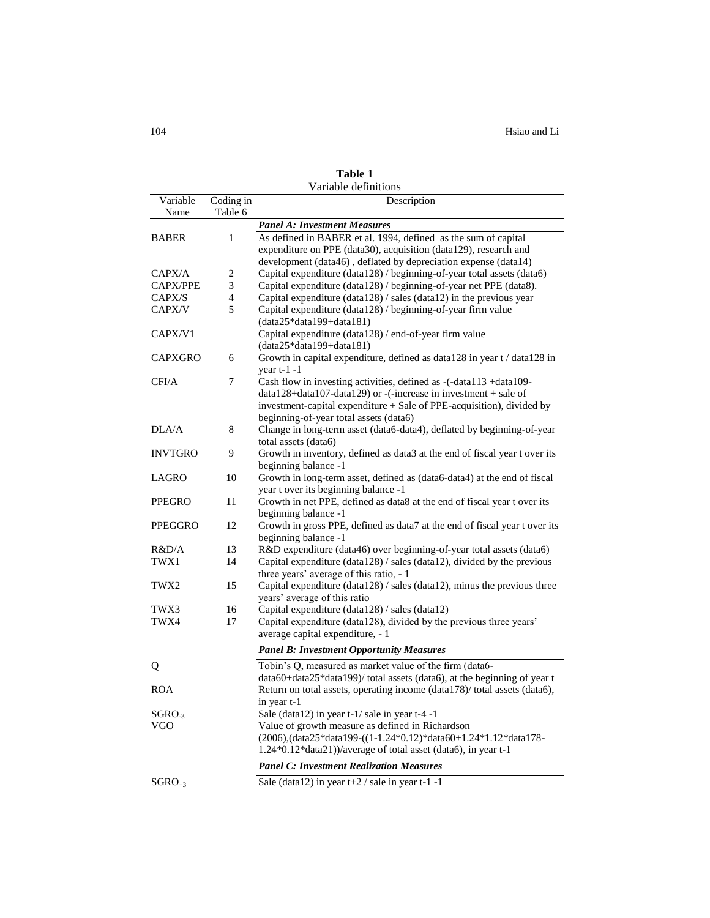|                |                | Variable definitions                                                       |
|----------------|----------------|----------------------------------------------------------------------------|
| Variable       | Coding in      | Description                                                                |
| Name           | Table 6        |                                                                            |
|                |                | <b>Panel A: Investment Measures</b>                                        |
| BABER          | 1              | As defined in BABER et al. 1994, defined as the sum of capital             |
|                |                | expenditure on PPE (data30), acquisition (data129), research and           |
|                |                | development (data46), deflated by depreciation expense (data14)            |
| CAPX/A         | 2              | Capital expenditure (data128) / beginning-of-year total assets (data6)     |
| CAPX/PPE       | 3              | Capital expenditure (data128) / beginning-of-year net PPE (data8).         |
| CAPX/S         | $\overline{4}$ | Capital expenditure (data128) / sales (data12) in the previous year        |
| CAPX/V         | 5              | Capital expenditure (data128) / beginning-of-year firm value               |
|                |                | $(data25*data199+data181)$                                                 |
| CAPX/V1        |                | Capital expenditure (data128) / end-of-year firm value                     |
|                |                | $(data25 * data199 + data181)$                                             |
| CAPXGRO        | 6              | Growth in capital expenditure, defined as data128 in year t / data128 in   |
|                |                | year $t-1$ -1                                                              |
| CFI/A          | 7              | Cash flow in investing activities, defined as -(-data113 +data109-         |
|                |                | data128+data107-data129) or -(-increase in investment + sale of            |
|                |                | investment-capital expenditure + Sale of PPE-acquisition), divided by      |
|                |                | beginning-of-year total assets (data6)                                     |
| DLA/A          | 8              | Change in long-term asset (data6-data4), deflated by beginning-of-year     |
|                |                | total assets (data6)                                                       |
| <b>INVTGRO</b> | 9              | Growth in inventory, defined as data3 at the end of fiscal year t over its |
|                |                | beginning balance -1                                                       |
| LAGRO          | 10             | Growth in long-term asset, defined as (data6-data4) at the end of fiscal   |
|                |                | year t over its beginning balance -1                                       |
| PPEGRO         | 11             | Growth in net PPE, defined as data8 at the end of fiscal year t over its   |
|                |                | beginning balance -1                                                       |
| PPEGGRO        | 12             | Growth in gross PPE, defined as data7 at the end of fiscal year t over its |
|                |                | beginning balance -1                                                       |
| R&D/A          | 13             | R&D expenditure (data46) over beginning-of-year total assets (data6)       |
| TWX1           | 14             | Capital expenditure (data128) / sales (data12), divided by the previous    |
|                |                | three years' average of this ratio, - 1                                    |
| TWX2           | 15             | Capital expenditure (data128) / sales (data12), minus the previous three   |
|                |                | years' average of this ratio                                               |
| TWX3           | 16             | Capital expenditure (data128) / sales (data12)                             |
| TWX4           | 17             | Capital expenditure (data128), divided by the previous three years'        |
|                |                | average capital expenditure, - 1                                           |
|                |                | <b>Panel B: Investment Opportunity Measures</b>                            |
| Q              |                | Tobin's Q, measured as market value of the firm (data6-                    |
|                |                | data60+data25*data199)/ total assets (data6), at the beginning of year t   |
| ROA            |                | Return on total assets, operating income (data178)/ total assets (data6),  |
|                |                | in year t-1                                                                |
| $SGRO-3$       |                | Sale (data12) in year $t-1$ sale in year $t-4$ -1                          |
| VGO            |                | Value of growth measure as defined in Richardson                           |
|                |                | (2006), (data25*data199-((1-1.24*0.12)*data60+1.24*1.12*data178-           |
|                |                | 1.24*0.12*data21))/average of total asset (data6), in year t-1             |
|                |                | <b>Panel C: Investment Realization Measures</b>                            |
|                |                |                                                                            |
| $SGRO_{+3}$    |                | Sale (data12) in year $t+2$ / sale in year $t-1$ -1                        |

**Table 1**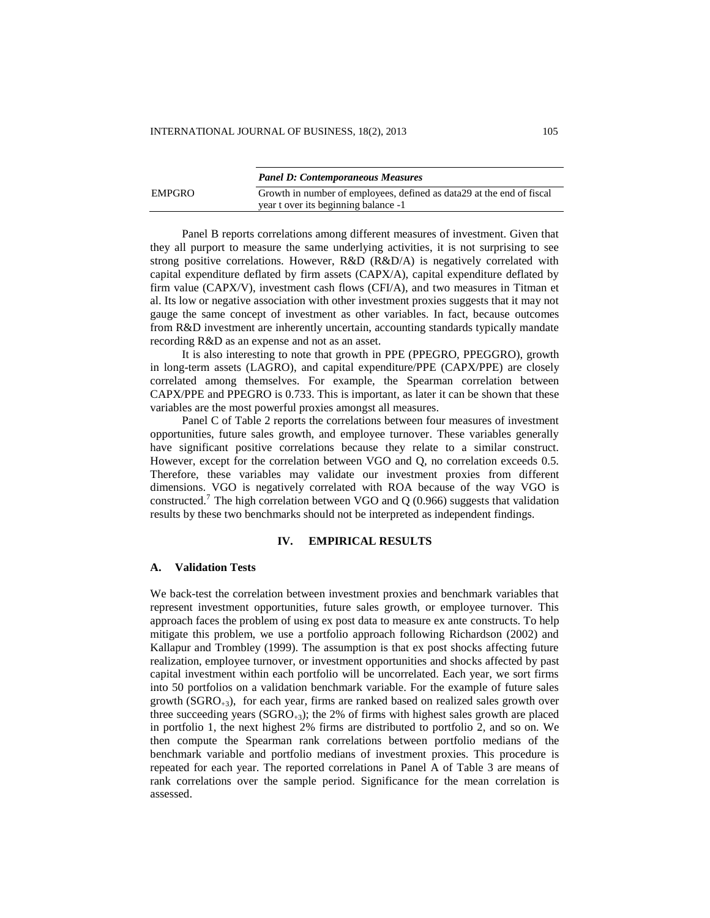|        | <b>Panel D: Contemporaneous Measures</b>                               |
|--------|------------------------------------------------------------------------|
| EMPGRO | Growth in number of employees, defined as data 29 at the end of fiscal |
|        | year t over its beginning balance -1                                   |

Panel B reports correlations among different measures of investment. Given that they all purport to measure the same underlying activities, it is not surprising to see strong positive correlations. However, R&D (R&D/A) is negatively correlated with capital expenditure deflated by firm assets (CAPX/A), capital expenditure deflated by firm value (CAPX/V), investment cash flows (CFI/A), and two measures in Titman et al. Its low or negative association with other investment proxies suggests that it may not gauge the same concept of investment as other variables. In fact, because outcomes from R&D investment are inherently uncertain, accounting standards typically mandate recording R&D as an expense and not as an asset.

It is also interesting to note that growth in PPE (PPEGRO, PPEGGRO), growth in long-term assets (LAGRO), and capital expenditure/PPE (CAPX/PPE) are closely correlated among themselves. For example, the Spearman correlation between CAPX/PPE and PPEGRO is 0.733. This is important, as later it can be shown that these variables are the most powerful proxies amongst all measures.

Panel C of Table 2 reports the correlations between four measures of investment opportunities, future sales growth, and employee turnover. These variables generally have significant positive correlations because they relate to a similar construct. However, except for the correlation between VGO and Q, no correlation exceeds 0.5. Therefore, these variables may validate our investment proxies from different dimensions. VGO is negatively correlated with ROA because of the way VGO is constructed.<sup>7</sup> The high correlation between VGO and Q (0.966) suggests that validation results by these two benchmarks should not be interpreted as independent findings.

### **IV. EMPIRICAL RESULTS**

### **A. Validation Tests**

We back-test the correlation between investment proxies and benchmark variables that represent investment opportunities, future sales growth, or employee turnover. This approach faces the problem of using ex post data to measure ex ante constructs. To help mitigate this problem, we use a portfolio approach following Richardson (2002) and Kallapur and Trombley (1999). The assumption is that ex post shocks affecting future realization, employee turnover, or investment opportunities and shocks affected by past capital investment within each portfolio will be uncorrelated. Each year, we sort firms into 50 portfolios on a validation benchmark variable. For the example of future sales growth ( $SGRO_{+3}$ ), for each year, firms are ranked based on realized sales growth over three succeeding years  $(SGRO_{+3})$ ; the 2% of firms with highest sales growth are placed in portfolio 1, the next highest 2% firms are distributed to portfolio 2, and so on. We then compute the Spearman rank correlations between portfolio medians of the benchmark variable and portfolio medians of investment proxies. This procedure is repeated for each year. The reported correlations in Panel A of Table 3 are means of rank correlations over the sample period. Significance for the mean correlation is assessed.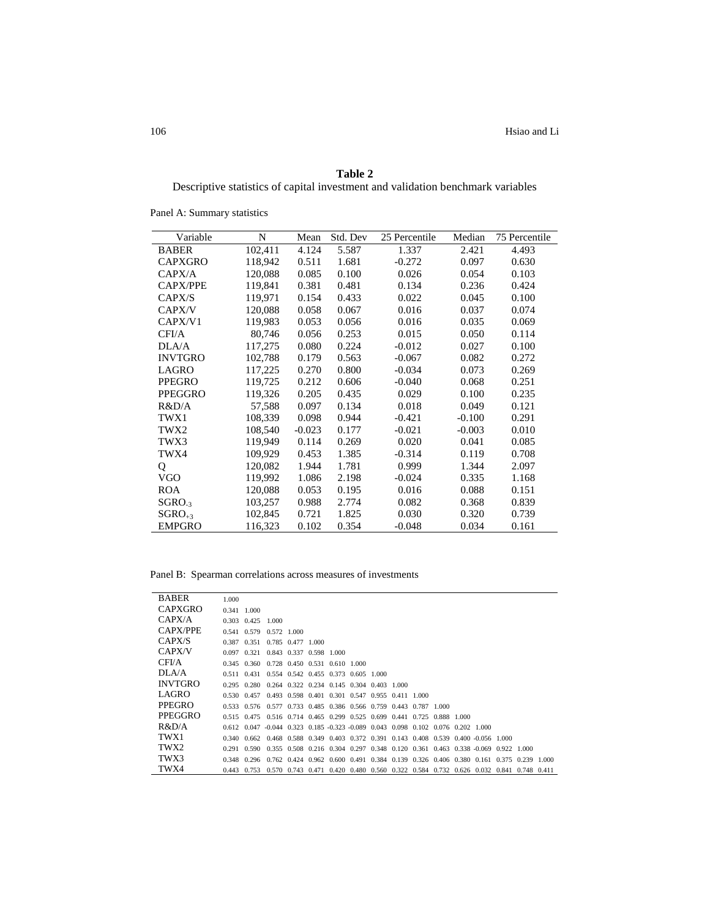| Table 2                                                                         |
|---------------------------------------------------------------------------------|
| Descriptive statistics of capital investment and validation benchmark variables |

Variable N Mean Std. Dev 25 Percentile Median 75 Percentile BABER 102,411 4.124 5.587 1.337 2.421 4.493 CAPXGRO 118,942 0.511 1.681 -0.272 0.097 0.630 CAPX/A 120,088 0.085 0.100 0.026 0.054 0.103 CAPX/PPE 119,841 0.381 0.481 0.134 0.236 0.424 CAPX/S 119,971 0.154 0.433 0.022 0.045 0.100 CAPX/V 120,088 0.058 0.067 0.016 0.037 0.074<br>CAPX/V1 119,983 0.053 0.056 0.016 0.035 0.069 CAPX/V1 119,983 0.053 0.056 0.016 0.035 0.069 CFI/A 80,746 0.056 0.253 0.015 0.050 0.114 DLA/A 117,275 0.080 0.224 -0.012 0.027 0.100 INVTGRO 102,788 0.179 0.563 -0.067 0.082 0.272 LAGRO 117,225 0.270 0.800 -0.034 0.073 0.269 PPEGRO 119,725 0.212 0.606 -0.040 0.068 0.251 PPEGGRO 119,326 0.205 0.435 0.029 0.100 0.235 R&D/A 57,588 0.097 0.134 0.018 0.049 0.121 TWX1 108,339 0.098 0.944 -0.421 -0.100 0.291 TWX2 108,540 -0.023 0.177 -0.021 -0.003 0.010 TWX3 119,949 0.114 0.269 0.020 0.041 0.085 TWX4 109,929 0.453 1.385 -0.314 0.119 0.708 Q 120,082 1.944 1.781 0.999 1.344 2.097 VGO 119,992 1.086 2.198 -0.024 0.335 1.168 ROA 120,088 0.053 0.195 0.016 0.088 0.151  $SGRO_{.3}$  103,257 0.988 2.774 0.082 0.368 0.839  $SGRO_{+3}$  102,845 0.721 1.825 0.030 0.320 0.739 EMPGRO 116,323 0.102 0.354 -0.048 0.034 0.161

Panel A: Summary statistics

Panel B: Spearman correlations across measures of investments

| <b>BABER</b>   | 1.000 |               |                                                                                                 |                         |  |                                                 |  |  |                                                                         |             |  |
|----------------|-------|---------------|-------------------------------------------------------------------------------------------------|-------------------------|--|-------------------------------------------------|--|--|-------------------------------------------------------------------------|-------------|--|
| CAPXGRO        |       | $0.341$ 1.000 |                                                                                                 |                         |  |                                                 |  |  |                                                                         |             |  |
| CAPX/A         |       | 0.303 0.425   | 1.000                                                                                           |                         |  |                                                 |  |  |                                                                         |             |  |
| CAPX/PPE       |       |               | 0.541 0.579 0.572 1.000                                                                         |                         |  |                                                 |  |  |                                                                         |             |  |
| CAPX/S         | 0.387 | 0.351         |                                                                                                 | 0.785 0.477 1.000       |  |                                                 |  |  |                                                                         |             |  |
| CAPX/V         | 0.097 | 0.321         |                                                                                                 | 0.843 0.337 0.598 1.000 |  |                                                 |  |  |                                                                         |             |  |
| CFI/A          |       |               | 0.345 0.360 0.728 0.450 0.531 0.610 1.000                                                       |                         |  |                                                 |  |  |                                                                         |             |  |
| DI.A/A         |       |               | 0.511 0.431 0.554 0.542 0.455 0.373 0.605 1.000                                                 |                         |  |                                                 |  |  |                                                                         |             |  |
| <b>INVTGRO</b> |       |               | 0.295 0.280 0.264 0.322 0.234 0.145 0.304 0.403 1.000                                           |                         |  |                                                 |  |  |                                                                         |             |  |
| LAGRO          |       | 0.530 0.457   |                                                                                                 |                         |  | 0.493 0.598 0.401 0.301 0.547 0.955 0.411 1.000 |  |  |                                                                         |             |  |
| PPEGRO         |       |               | 0.533 0.576 0.577 0.733 0.485 0.386 0.566 0.759 0.443 0.787 1.000                               |                         |  |                                                 |  |  |                                                                         |             |  |
| PPEGGRO        |       |               | 0.515 0.475 0.516 0.714 0.465 0.299 0.525 0.699 0.441 0.725 0.888 1.000                         |                         |  |                                                 |  |  |                                                                         |             |  |
| R&D/A          |       |               | 0.612 0.047 -0.044 0.323 0.185 0.323 0.089 0.043 0.098 0.102 0.076 0.202 1.000                  |                         |  |                                                 |  |  |                                                                         |             |  |
| TWX1           |       |               | 0.340 0.662 0.468 0.588 0.349 0.403 0.372 0.391 0.143 0.408 0.539 0.400 0.056 1.000             |                         |  |                                                 |  |  |                                                                         |             |  |
| TWX2           |       |               | 0.291 0.590 0.355 0.508 0.216 0.304 0.297 0.348 0.120 0.361 0.463 0.338 0.069 0.922 1.000       |                         |  |                                                 |  |  |                                                                         |             |  |
| TWX3           |       |               | 0.348 0.296 0.762 0.424 0.962 0.600 0.491 0.384 0.139 0.326 0.406 0.380 0.161 0.375 0.239 1.000 |                         |  |                                                 |  |  |                                                                         |             |  |
| TWX4           | 0.443 | 0.753         |                                                                                                 |                         |  |                                                 |  |  | 0.570 0.743 0.471 0.420 0.480 0.560 0.322 0.584 0.732 0.626 0.032 0.841 | 0.748 0.411 |  |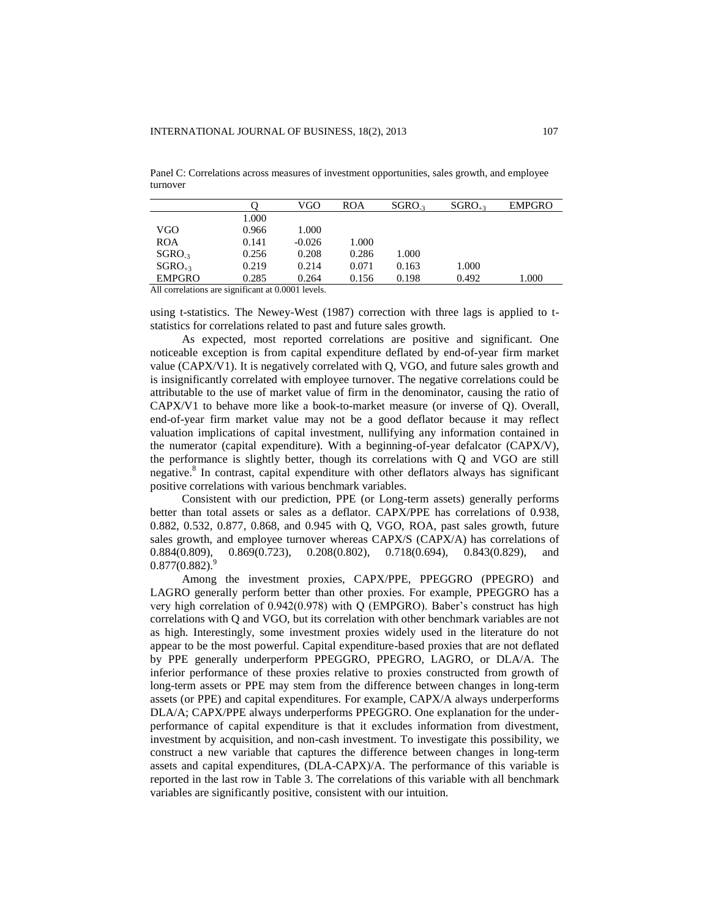Panel C: Correlations across measures of investment opportunities, sales growth, and employee turnover

|               |       | VGO      | ROA   | SGRO <sub>3</sub> | $SGRO_{+3}$ | <b>EMPGRO</b> |
|---------------|-------|----------|-------|-------------------|-------------|---------------|
|               | 1.000 |          |       |                   |             |               |
| VGO           | 0.966 | 1.000    |       |                   |             |               |
| <b>ROA</b>    | 0.141 | $-0.026$ | 1.000 |                   |             |               |
| $SGRO-3$      | 0.256 | 0.208    | 0.286 | 1.000             |             |               |
| $SGRO_{+3}$   | 0.219 | 0.214    | 0.071 | 0.163             | 1.000       |               |
| <b>EMPGRO</b> | 0.285 | 0.264    | 0.156 | 0.198             | 0.492       | 1.000         |
|               |       |          |       |                   |             |               |

All correlations are significant at 0.0001 levels.

using t-statistics. The Newey-West (1987) correction with three lags is applied to tstatistics for correlations related to past and future sales growth.

As expected, most reported correlations are positive and significant. One noticeable exception is from capital expenditure deflated by end-of-year firm market value (CAPX/V1). It is negatively correlated with Q, VGO, and future sales growth and is insignificantly correlated with employee turnover. The negative correlations could be attributable to the use of market value of firm in the denominator, causing the ratio of CAPX/V1 to behave more like a book-to-market measure (or inverse of Q). Overall, end-of-year firm market value may not be a good deflator because it may reflect valuation implications of capital investment, nullifying any information contained in the numerator (capital expenditure). With a beginning-of-year defalcator (CAPX/V), the performance is slightly better, though its correlations with Q and VGO are still negative.<sup>8</sup> In contrast, capital expenditure with other deflators always has significant positive correlations with various benchmark variables.

Consistent with our prediction, PPE (or Long-term assets) generally performs better than total assets or sales as a deflator. CAPX/PPE has correlations of 0.938, 0.882, 0.532, 0.877, 0.868, and 0.945 with Q, VGO, ROA, past sales growth, future sales growth, and employee turnover whereas CAPX/S (CAPX/A) has correlations of 0.884(0.809), 0.869(0.723), 0.208(0.802), 0.718(0.694), 0.843(0.829), and  $0.877(0.882)$ .

Among the investment proxies, CAPX/PPE, PPEGGRO (PPEGRO) and LAGRO generally perform better than other proxies. For example, PPEGGRO has a very high correlation of 0.942(0.978) with Q (EMPGRO). Baber's construct has high correlations with Q and VGO, but its correlation with other benchmark variables are not as high. Interestingly, some investment proxies widely used in the literature do not appear to be the most powerful. Capital expenditure-based proxies that are not deflated by PPE generally underperform PPEGGRO, PPEGRO, LAGRO, or DLA/A. The inferior performance of these proxies relative to proxies constructed from growth of long-term assets or PPE may stem from the difference between changes in long-term assets (or PPE) and capital expenditures. For example, CAPX/A always underperforms DLA/A; CAPX/PPE always underperforms PPEGGRO. One explanation for the underperformance of capital expenditure is that it excludes information from divestment, investment by acquisition, and non-cash investment. To investigate this possibility, we construct a new variable that captures the difference between changes in long-term assets and capital expenditures, (DLA-CAPX)/A. The performance of this variable is reported in the last row in Table 3. The correlations of this variable with all benchmark variables are significantly positive, consistent with our intuition.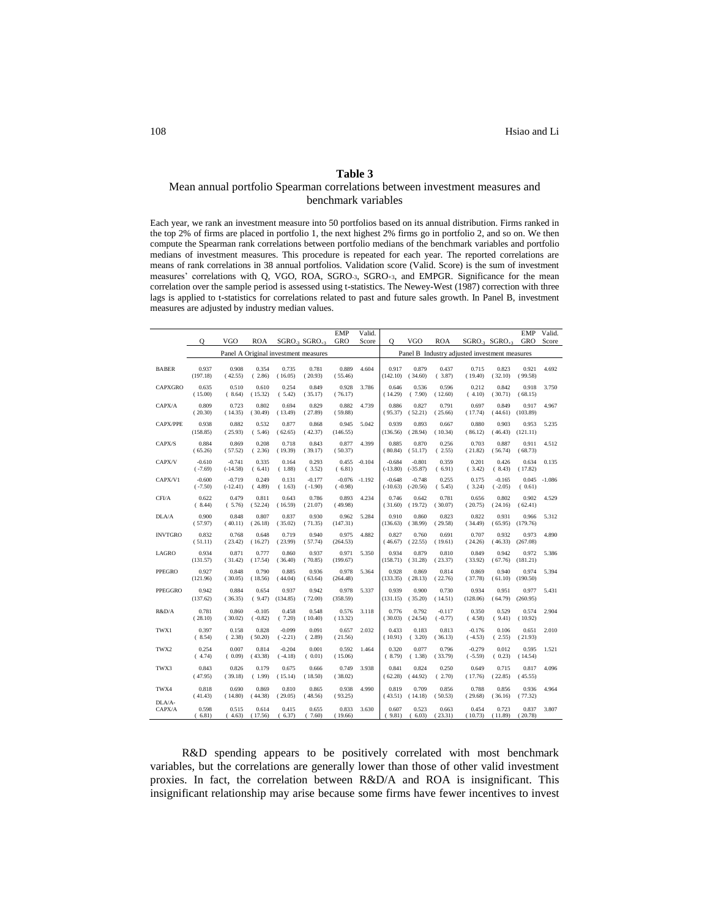### **Table 3**

### Mean annual portfolio Spearman correlations between investment measures and benchmark variables

Each year, we rank an investment measure into 50 portfolios based on its annual distribution. Firms ranked in the top 2% of firms are placed in portfolio 1, the next highest 2% firms go in portfolio 2, and so on. We then compute the Spearman rank correlations between portfolio medians of the benchmark variables and portfolio medians of investment measures. This procedure is repeated for each year. The reported correlations are means of rank correlations in 38 annual portfolios. Validation score (Valid. Score) is the sum of investment measures' correlations with Q, VGO, ROA, SGRO-3, SGRO+3, and EMPGR. Significance for the mean correlation over the sample period is assessed using t-statistics. The Newey-West (1987) correction with three lags is applied to t-statistics for correlations related to past and future sales growth. In Panel B, investment measures are adjusted by industry median values.

|                  |                       |                        |                       |                       |                                      | <b>EMP</b>            | Valid.   |                        |                        |                       |                                               |                         | <b>EMP</b>        | Valid.          |
|------------------|-----------------------|------------------------|-----------------------|-----------------------|--------------------------------------|-----------------------|----------|------------------------|------------------------|-----------------------|-----------------------------------------------|-------------------------|-------------------|-----------------|
|                  | O                     | <b>VGO</b>             | <b>ROA</b>            |                       | SGRO <sub>3</sub> SGRO <sub>43</sub> | GRO                   | Score    | O                      | <b>VGO</b>             | <b>ROA</b>            |                                               | $SGRO_{-3}$ $SGRO_{+3}$ | GRO               | Score           |
|                  |                       |                        |                       |                       | Panel A Original investment measures |                       |          |                        |                        |                       | Panel B Industry adjusted investment measures |                         |                   |                 |
| <b>BABER</b>     | 0.937<br>(197.18)     | 0.908<br>(42.55)       | 0.354<br>(2.86)       | 0.735<br>(16.05)      | 0.781<br>(20.93)                     | 0.889<br>(55.46)      | 4.604    | 0.917<br>(142.10)      | 0.879<br>(34.60)       | 0.437<br>(3.87)       | 0.715<br>(19.40)                              | 0.823<br>(32.10)        | 0.921<br>(99.58)  | 4.692           |
| <b>CAPXGRO</b>   | 0.635<br>(15.00)      | 0.510<br>(8.64)        | 0.610<br>(15.32)      | 0.254<br>(5.42)       | 0.849<br>(35.17)                     | 0.928<br>(76.17)      | 3.786    | 0.646<br>(14.29)       | 0.536<br>(7.90)        | 0.596<br>(12.60)      | 0.212<br>(4.10)                               | 0.842<br>(30.71)        | 0.918<br>(68.15)  | 3.750           |
| CAPX/A           | 0.809<br>(20.30)      | 0.723<br>(14.35)       | 0.802<br>(30.49)      | 0.694<br>(13.49)      | 0.829<br>(27.89)                     | 0.882<br>(59.88)      | 4.739    | 0.886<br>(95.37)       | 0.827<br>(52.21)       | 0.791<br>(25.66)      | 0.697<br>(17.74)                              | 0.849<br>(44.61)        | 0.917<br>(103.89) | 4.967           |
| CAPX/PPE         | 0.938<br>(158.85)     | 0.882<br>(25.93)       | 0.532<br>(5.46)       | 0.877<br>(62.65)      | 0.868<br>(42.37)                     | 0.945<br>(146.55)     | 5.042    | 0.939<br>(136.56)      | 0.893<br>(28.94)       | 0.667<br>(10.34)      | 0.880<br>(86.12)                              | 0.903<br>(46.43)        | 0.953<br>(121.11) | 5.235           |
| CAPX/S           | 0.884<br>(65.26)      | 0.869<br>(57.52)       | 0.208<br>(2.36)       | 0.718<br>(19.39)      | 0.843<br>(39.17)                     | 0.877<br>(50.37)      | 4.399    | 0.885<br>(80.84)       | 0.870<br>(51.17)       | 0.256<br>(2.55)       | 0.703<br>(21.82)                              | 0.887<br>(56.74)        | 0.911<br>(68.73)  | 4.512           |
| CAPX/V           | $-0.610$<br>$(-7.69)$ | $-0.741$<br>$(-14.58)$ | 0.335<br>(6.41)       | 0.164<br>(1.88)       | 0.293<br>(3.52)                      | 0.455<br>(6.81)       | $-0.104$ | $-0.684$<br>$(-13.80)$ | $-0.801$<br>$(-35.87)$ | 0.359<br>(6.91)       | 0.201<br>(3.42)                               | 0.426<br>(8.43)         | 0.634<br>(17.82)  | 0.135           |
| CAPX/V1          | $-0.600$<br>$(-7.50)$ | $-0.719$<br>$(-12.41)$ | 0.249<br>(4.89)       | 0.131<br>(1.63)       | $-0.177$<br>$(-1.90)$                | $-0.076$<br>$(-0.98)$ | $-1.192$ | $-0.648$<br>$(-10.63)$ | $-0.748$<br>$(-20.56)$ | 0.255<br>(5.45)       | 0.175<br>(3.24)                               | $-0.165$<br>$(-2.05)$   | (0.61)            | $0.045 - 1.086$ |
| CFI/A            | 0.622<br>(8.44)       | 0.479<br>(5.76)        | 0.811<br>(52.24)      | 0.643<br>(16.59)      | 0.786<br>(21.07)                     | 0.893<br>(49.98)      | 4.234    | 0.746<br>(31.60)       | 0.642<br>(19.72)       | 0.781<br>(30.07)      | 0.656<br>(20.75)                              | 0.802<br>(24.16)        | 0.902<br>(62.41)  | 4.529           |
| DLA/A            | 0.900<br>(57.97)      | 0.848<br>(40.11)       | 0.807<br>(26.18)      | 0.837<br>(35.02)      | 0.930<br>(71.35)                     | 0.962<br>(147.31)     | 5.284    | 0.910<br>(136.63)      | 0.860<br>(38.99)       | 0.823<br>(29.58)      | 0.822<br>(34.49)                              | 0.931<br>(65.95)        | 0.966<br>(179.76) | 5.312           |
| <b>INVTGRO</b>   | 0.832<br>(51.11)      | 0.768<br>(23.42)       | 0.648<br>(16.27)      | 0.719<br>(23.99)      | 0.940<br>(57.74)                     | 0.975<br>(264.53)     | 4.882    | 0.827<br>(46.67)       | 0.760<br>(22.55)       | 0.691<br>(19.61)      | 0.707<br>(24.26)                              | 0.932<br>(46.33)        | 0.973<br>(267.08) | 4.890           |
| LAGRO            | 0.934<br>(131.57)     | 0.871<br>(31.42)       | 0.777<br>(17.54)      | 0.860<br>(36.40)      | 0.937<br>(70.85)                     | 0.971<br>(199.67)     | 5.350    | 0.934<br>(158.71)      | 0.879<br>(31.28)       | 0.810<br>(23.37)      | 0.849<br>(33.92)                              | 0.942<br>(67.76)        | 0.972<br>(181.21) | 5.386           |
| PPEGRO           | 0.927<br>(121.96)     | 0.848<br>(30.05)       | 0.790<br>(18.56)      | 0.885<br>(44.04)      | 0.936<br>(63.64)                     | 0.978<br>(264.48)     | 5.364    | 0.928<br>(133.35)      | 0.869<br>(28.13)       | 0.814<br>(22.76)      | 0.869<br>(37.78)                              | 0.940<br>(61.10)        | 0.974<br>(190.50) | 5.394           |
| PPEGGRO          | 0.942<br>(137.62)     | 0.884<br>(36.35)       | 0.654<br>(9.47)       | 0.937<br>(134.85)     | 0.942<br>(72.00)                     | 0.978<br>(358.59)     | 5.337    | 0.939<br>(131.15)      | 0.900<br>(35.20)       | 0.730<br>(14.51)      | 0.934<br>(128.06)                             | 0.951<br>(64.79)        | 0.977<br>(260.95) | 5.431           |
| R&D/A            | 0.781<br>(28.10)      | 0.860<br>(30.02)       | $-0.105$<br>$(-0.82)$ | 0.458<br>(7.20)       | 0.548<br>(10.40)                     | 0.576<br>(13.32)      | 3.118    | 0.776<br>(30.03)       | 0.792<br>(24.54)       | $-0.117$<br>$(-0.77)$ | 0.350<br>(4.58)                               | 0.529<br>(9.41)         | 0.574<br>(10.92)  | 2.904           |
| TWX1             | 0.397<br>(8.54)       | 0.158<br>(2.38)        | 0.828<br>(50.20)      | $-0.099$<br>$(-2.21)$ | 0.091<br>(2.89)                      | 0.657<br>(21.56)      | 2.032    | 0.433<br>(10.91)       | 0.183<br>(3.20)        | 0.813<br>(36.13)      | $-0.176$<br>$(-4.53)$                         | 0.106<br>(2.55)         | 0.651<br>(21.93)  | 2.010           |
| TWX2             | 0.254<br>(4.74)       | 0.007<br>(0.09)        | 0.814<br>(43.38)      | $-0.204$<br>$(-4.18)$ | 0.001<br>(0.01)                      | 0.592<br>(15.06)      | 1.464    | 0.320<br>(8.79)        | 0.077<br>(1.38)        | 0.796<br>(33.79)      | $-0.279$<br>$(-5.59)$                         | 0.012<br>(0.23)         | 0.595<br>(14.54)  | 1.521           |
| TWX3             | 0.843<br>(47.95)      | 0.826<br>(39.18)       | 0.179<br>(1.99)       | 0.675<br>(15.14)      | 0.666<br>(18.50)                     | 0.749<br>(38.02)      | 3.938    | 0.841<br>(62.28)       | 0.824<br>(44.92)       | 0.250<br>(2.70)       | 0.649<br>(17.76)                              | 0.715<br>(22.85)        | 0.817<br>(45.55)  | 4.096           |
| TWX4             | 0.818<br>(41.43)      | 0.690<br>(14.80)       | 0.869<br>(44.38)      | 0.810<br>(29.05)      | 0.865<br>(48.56)                     | 0.938<br>(93.25)      | 4.990    | 0.819<br>(43.51)       | 0.709<br>(14.18)       | 0.856<br>(50.53)      | 0.788<br>(29.68)                              | 0.856<br>(36.16)        | 0.936<br>(77.32)  | 4.964           |
| DLA/A-<br>CAPX/A | 0.598<br>(6.81)       | 0.515<br>(4.63)        | 0.614<br>(17.56)      | 0.415<br>(6.37)       | 0.655<br>(7.60)                      | 0.833<br>(19.66)      | 3.630    | 0.607<br>(9.81)        | 0.523<br>(6.03)        | 0.663<br>(23.31)      | 0.454<br>(10.73)                              | 0.723<br>(11.89)        | 0.837<br>(20.78)  | 3.807           |

R&D spending appears to be positively correlated with most benchmark variables, but the correlations are generally lower than those of other valid investment proxies. In fact, the correlation between R&D/A and ROA is insignificant. This insignificant relationship may arise because some firms have fewer incentives to invest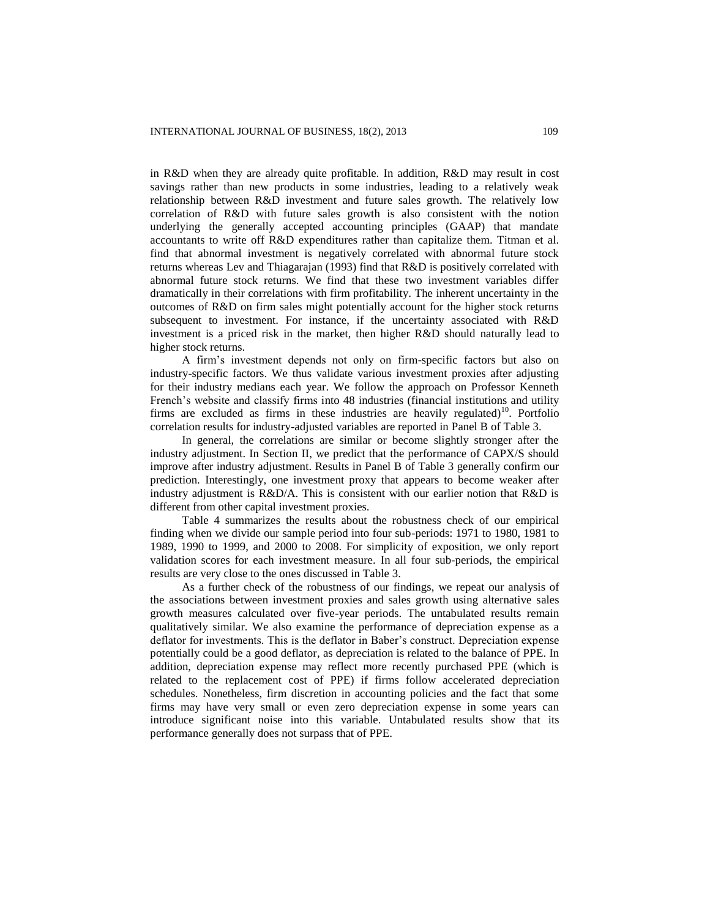in R&D when they are already quite profitable. In addition, R&D may result in cost savings rather than new products in some industries, leading to a relatively weak relationship between R&D investment and future sales growth. The relatively low correlation of R&D with future sales growth is also consistent with the notion underlying the generally accepted accounting principles (GAAP) that mandate accountants to write off R&D expenditures rather than capitalize them. Titman et al. find that abnormal investment is negatively correlated with abnormal future stock returns whereas Lev and Thiagarajan (1993) find that R&D is positively correlated with abnormal future stock returns. We find that these two investment variables differ dramatically in their correlations with firm profitability. The inherent uncertainty in the outcomes of R&D on firm sales might potentially account for the higher stock returns subsequent to investment. For instance, if the uncertainty associated with R&D investment is a priced risk in the market, then higher R&D should naturally lead to higher stock returns.

A firm's investment depends not only on firm-specific factors but also on industry-specific factors. We thus validate various investment proxies after adjusting for their industry medians each year. We follow the approach on Professor Kenneth French's website and classify firms into 48 industries (financial institutions and utility firms are excluded as firms in these industries are heavily regulated)<sup>10</sup>. Portfolio correlation results for industry-adjusted variables are reported in Panel B of Table 3.

In general, the correlations are similar or become slightly stronger after the industry adjustment. In Section II, we predict that the performance of CAPX/S should improve after industry adjustment. Results in Panel B of Table 3 generally confirm our prediction. Interestingly, one investment proxy that appears to become weaker after industry adjustment is R&D/A. This is consistent with our earlier notion that R&D is different from other capital investment proxies.

Table 4 summarizes the results about the robustness check of our empirical finding when we divide our sample period into four sub-periods: 1971 to 1980, 1981 to 1989, 1990 to 1999, and 2000 to 2008. For simplicity of exposition, we only report validation scores for each investment measure. In all four sub-periods, the empirical results are very close to the ones discussed in Table 3.

As a further check of the robustness of our findings, we repeat our analysis of the associations between investment proxies and sales growth using alternative sales growth measures calculated over five-year periods. The untabulated results remain qualitatively similar. We also examine the performance of depreciation expense as a deflator for investments. This is the deflator in Baber's construct. Depreciation expense potentially could be a good deflator, as depreciation is related to the balance of PPE. In addition, depreciation expense may reflect more recently purchased PPE (which is related to the replacement cost of PPE) if firms follow accelerated depreciation schedules. Nonetheless, firm discretion in accounting policies and the fact that some firms may have very small or even zero depreciation expense in some years can introduce significant noise into this variable. Untabulated results show that its performance generally does not surpass that of PPE.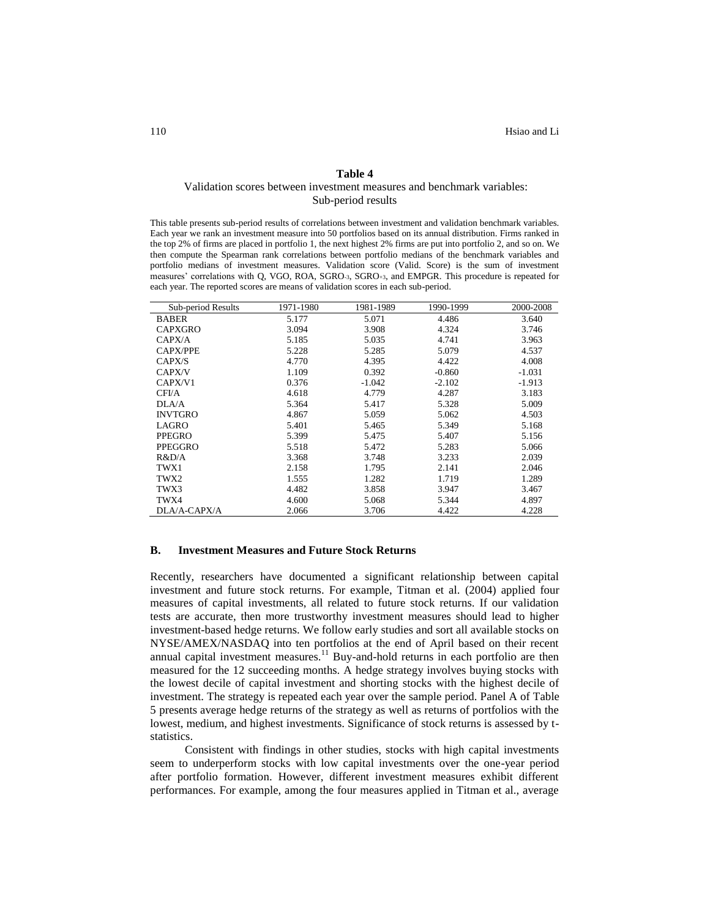### **Table 4**

# Validation scores between investment measures and benchmark variables:

Sub-period results

This table presents sub-period results of correlations between investment and validation benchmark variables. Each year we rank an investment measure into 50 portfolios based on its annual distribution. Firms ranked in the top 2% of firms are placed in portfolio 1, the next highest 2% firms are put into portfolio 2, and so on. We then compute the Spearman rank correlations between portfolio medians of the benchmark variables and portfolio medians of investment measures. Validation score (Valid. Score) is the sum of investment measures' correlations with Q, VGO, ROA, SGRO-3, SGRO+3, and EMPGR. This procedure is repeated for each year. The reported scores are means of validation scores in each sub-period.

| Sub-period Results | 1971-1980 | 1981-1989 | 1990-1999 | 2000-2008 |
|--------------------|-----------|-----------|-----------|-----------|
| <b>BABER</b>       | 5.177     | 5.071     | 4.486     | 3.640     |
| <b>CAPXGRO</b>     | 3.094     | 3.908     | 4.324     | 3.746     |
| CAPX/A             | 5.185     | 5.035     | 4.741     | 3.963     |
| <b>CAPX/PPE</b>    | 5.228     | 5.285     | 5.079     | 4.537     |
| CAPX/S             | 4.770     | 4.395     | 4.422     | 4.008     |
| CAPX/V             | 1.109     | 0.392     | $-0.860$  | $-1.031$  |
| CAPX/V1            | 0.376     | $-1.042$  | $-2.102$  | $-1.913$  |
| CFI/A              | 4.618     | 4.779     | 4.287     | 3.183     |
| DI.A/A             | 5.364     | 5.417     | 5.328     | 5.009     |
| <b>INVTGRO</b>     | 4.867     | 5.059     | 5.062     | 4.503     |
| LAGRO              | 5.401     | 5.465     | 5.349     | 5.168     |
| <b>PPEGRO</b>      | 5.399     | 5.475     | 5.407     | 5.156     |
| PPEGGRO            | 5.518     | 5.472     | 5.283     | 5.066     |
| R&D/A              | 3.368     | 3.748     | 3.233     | 2.039     |
| TWX1               | 2.158     | 1.795     | 2.141     | 2.046     |
| TWX2               | 1.555     | 1.282     | 1.719     | 1.289     |
| TWX3               | 4.482     | 3.858     | 3.947     | 3.467     |
| TWX4               | 4.600     | 5.068     | 5.344     | 4.897     |
| DLA/A-CAPX/A       | 2.066     | 3.706     | 4.422     | 4.228     |

### **B. Investment Measures and Future Stock Returns**

Recently, researchers have documented a significant relationship between capital investment and future stock returns. For example, Titman et al. (2004) applied four measures of capital investments, all related to future stock returns. If our validation tests are accurate, then more trustworthy investment measures should lead to higher investment-based hedge returns. We follow early studies and sort all available stocks on NYSE/AMEX/NASDAQ into ten portfolios at the end of April based on their recent annual capital investment measures.<sup>11</sup> Buy-and-hold returns in each portfolio are then measured for the 12 succeeding months. A hedge strategy involves buying stocks with the lowest decile of capital investment and shorting stocks with the highest decile of investment. The strategy is repeated each year over the sample period. Panel A of Table 5 presents average hedge returns of the strategy as well as returns of portfolios with the lowest, medium, and highest investments. Significance of stock returns is assessed by tstatistics.

Consistent with findings in other studies, stocks with high capital investments seem to underperform stocks with low capital investments over the one-year period after portfolio formation. However, different investment measures exhibit different performances. For example, among the four measures applied in Titman et al., average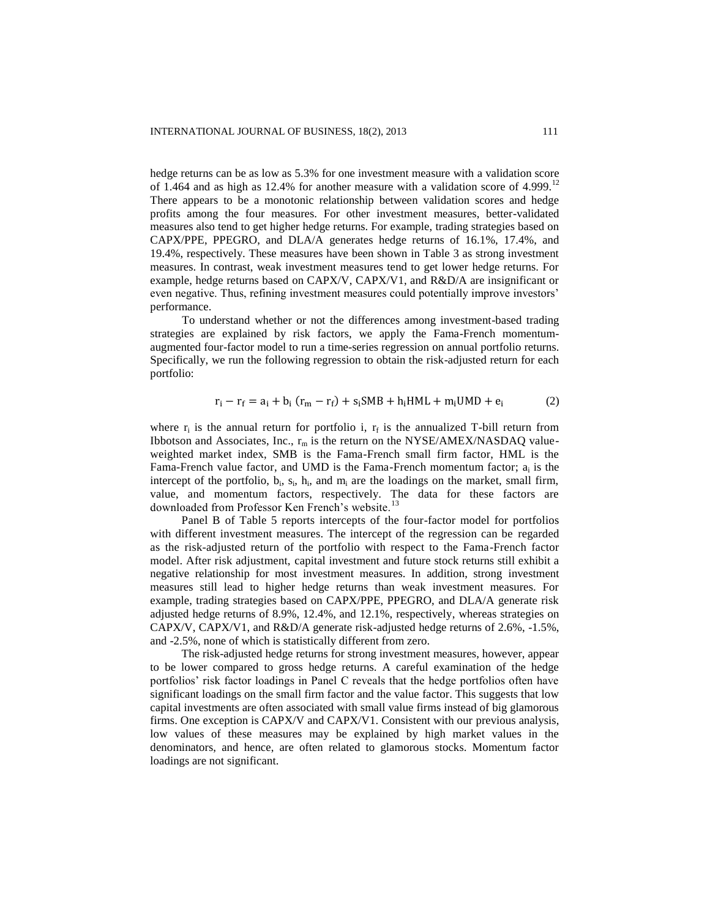hedge returns can be as low as  $5.3\%$  for one investment measure with a validation score of 1.464 and as high as 12.4% for another measure with a validation score of 4.999.<sup>12</sup> There appears to be a monotonic relationship between validation scores and hedge profits among the four measures. For other investment measures, better-validated measures also tend to get higher hedge returns. For example, trading strategies based on CAPX/PPE, PPEGRO, and DLA/A generates hedge returns of 16.1%, 17.4%, and 19.4%, respectively. These measures have been shown in Table 3 as strong investment measures. In contrast, weak investment measures tend to get lower hedge returns. For example, hedge returns based on CAPX/V, CAPX/V1, and R&D/A are insignificant or even negative. Thus, refining investment measures could potentially improve investors' performance.

To understand whether or not the differences among investment-based trading strategies are explained by risk factors, we apply the Fama-French momentumaugmented four-factor model to run a time-series regression on annual portfolio returns. Specifically, we run the following regression to obtain the risk-adjusted return for each portfolio:

$$
r_i - r_f = a_i + b_i (r_m - r_f) + s_i \text{SMB} + h_i \text{HML} + m_i \text{UMD} + e_i \tag{2}
$$

where  $r_i$  is the annual return for portfolio i,  $r_f$  is the annualized T-bill return from Ibbotson and Associates, Inc.,  $r_m$  is the return on the NYSE/AMEX/NASDAQ valueweighted market index, SMB is the Fama-French small firm factor, HML is the Fama-French value factor, and UMD is the Fama-French momentum factor;  $a_i$  is the intercept of the portfolio,  $b_i$ ,  $s_i$ ,  $h_i$ , and  $m_i$  are the loadings on the market, small firm, value, and momentum factors, respectively. The data for these factors are downloaded from Professor Ken French's website.<sup>13</sup>

Panel B of Table 5 reports intercepts of the four-factor model for portfolios with different investment measures. The intercept of the regression can be regarded as the risk-adjusted return of the portfolio with respect to the Fama-French factor model. After risk adjustment, capital investment and future stock returns still exhibit a negative relationship for most investment measures. In addition, strong investment measures still lead to higher hedge returns than weak investment measures. For example, trading strategies based on CAPX/PPE, PPEGRO, and DLA/A generate risk adjusted hedge returns of 8.9%, 12.4%, and 12.1%, respectively, whereas strategies on CAPX/V, CAPX/V1, and R&D/A generate risk-adjusted hedge returns of  $2.6\%$ ,  $-1.5\%$ , and -2.5%, none of which is statistically different from zero.

The risk-adjusted hedge returns for strong investment measures, however, appear to be lower compared to gross hedge returns. A careful examination of the hedge portfolios' risk factor loadings in Panel C reveals that the hedge portfolios often have significant loadings on the small firm factor and the value factor. This suggests that low capital investments are often associated with small value firms instead of big glamorous firms. One exception is CAPX/V and CAPX/V1. Consistent with our previous analysis, low values of these measures may be explained by high market values in the denominators, and hence, are often related to glamorous stocks. Momentum factor loadings are not significant.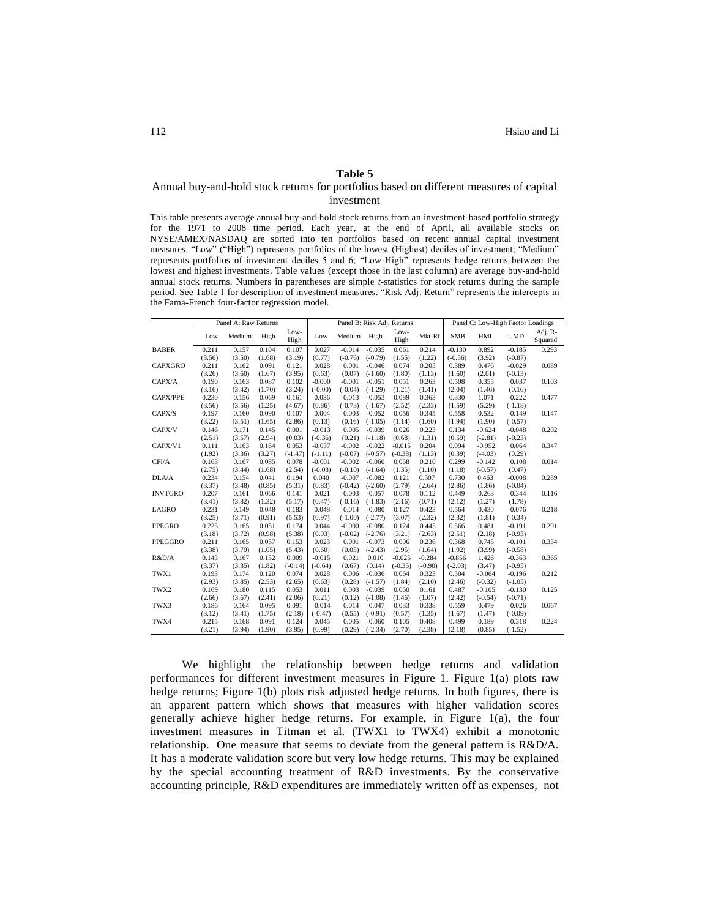### **Table 5**

### Annual buy-and-hold stock returns for portfolios based on different measures of capital investment

This table presents average annual buy-and-hold stock returns from an investment-based portfolio strategy for the 1971 to 2008 time period. Each year, at the end of April, all available stocks on NYSE/AMEX/NASDAQ are sorted into ten portfolios based on recent annual capital investment measures. "Low" ("High") represents portfolios of the lowest (Highest) deciles of investment; "Medium" represents portfolios of investment deciles 5 and 6; "Low-High" represents hedge returns between the lowest and highest investments. Table values (except those in the last column) are average buy-and-hold annual stock returns. Numbers in parentheses are simple *t*-statistics for stock returns during the sample period. See Table 1 for description of investment measures. "Risk Adj. Return" represents the intercepts in the Fama-French four-factor regression model.

|                 |        | Panel A: Raw Returns |        |              |           | Panel B: Risk Adj. Returns |           |              |           |            | Panel C: Low-High Factor Loadings |            |                    |  |
|-----------------|--------|----------------------|--------|--------------|-----------|----------------------------|-----------|--------------|-----------|------------|-----------------------------------|------------|--------------------|--|
|                 | Low    | Medium               | High   | Low-<br>High | Low       | Medium                     | High      | Low-<br>High | Mkt-Rf    | <b>SMB</b> | <b>HML</b>                        | <b>UMD</b> | Adj. R-<br>Squared |  |
| <b>BABER</b>    | 0.211  | 0.157                | 0.104  | 0.107        | 0.027     | $-0.014$                   | $-0.035$  | 0.061        | 0.214     | $-0.130$   | 0.892                             | $-0.185$   | 0.293              |  |
|                 | (3.56) | (3.50)               | (1.68) | (3.19)       | (0.77)    | $(-0.76)$                  | $(-0.79)$ | (1.55)       | (1.22)    | $(-0.56)$  | (3.92)                            | $(-0.87)$  |                    |  |
| <b>CAPXGRO</b>  | 0.211  | 0.162                | 0.091  | 0.121        | 0.028     | 0.001                      | $-0.046$  | 0.074        | 0.205     | 0.389      | 0.476                             | $-0.029$   | 0.089              |  |
|                 | (3.26) | (3.60)               | (1.67) | (3.95)       | (0.63)    | (0.07)                     | $(-1.60)$ | (1.80)       | (1.13)    | (1.60)     | (2.01)                            | $(-0.13)$  |                    |  |
| CAPX/A          | 0.190  | 0.163                | 0.087  | 0.102        | $-0.000$  | $-0.001$                   | $-0.051$  | 0.051        | 0.263     | 0.508      | 0.355                             | 0.037      | 0.103              |  |
|                 | (3.16) | (3.42)               | (1.70) | (3.24)       | $(-0.00)$ | $(-0.04)$                  | $(-1.29)$ | (1.21)       | (1.41)    | (2.04)     | (1.46)                            | (0.16)     |                    |  |
| <b>CAPX/PPE</b> | 0.230  | 0.156                | 0.069  | 0.161        | 0.036     | $-0.013$                   | $-0.053$  | 0.089        | 0.363     | 0.330      | 1.071                             | $-0.222$   | 0.477              |  |
|                 | (3.56) | (3.56)               | (1.25) | (4.67)       | (0.86)    | $(-0.73)$                  | $(-1.67)$ | (2.52)       | (2.33)    | (1.59)     | (5.29)                            | $(-1.18)$  |                    |  |
| CAPX/S          | 0.197  | 0.160                | 0.090  | 0.107        | 0.004     | 0.003                      | $-0.052$  | 0.056        | 0.345     | 0.558      | 0.532                             | $-0.149$   | 0.147              |  |
|                 | (3.22) | (3.51)               | (1.65) | (2.86)       | (0.13)    | (0.16)                     | $(-1.05)$ | (1.14)       | (1.60)    | (1.94)     | (1.90)                            | $(-0.57)$  |                    |  |
| CAPX/V          | 0.146  | 0.171                | 0.145  | 0.001        | $-0.013$  | 0.005                      | $-0.039$  | 0.026        | 0.223     | 0.134      | $-0.624$                          | $-0.048$   | 0.202              |  |
|                 | (2.51) | (3.57)               | (2.94) | (0.03)       | $(-0.36)$ | (0.21)                     | $(-1.18)$ | (0.68)       | (1.31)    | (0.59)     | $(-2.81)$                         | $(-0.23)$  |                    |  |
| CAPX/V1         | 0.111  | 0.163                | 0.164  | 0.053        | $-0.037$  | $-0.002$                   | $-0.022$  | $-0.015$     | 0.204     | 0.094      | $-0.952$                          | 0.064      | 0.347              |  |
|                 | (1.92) | (3.36)               | (3.27) | $(-1.47)$    | $(-1.11)$ | $(-0.07)$                  | $(-0.57)$ | $(-0.38)$    | (1.13)    | (0.39)     | $(-4.03)$                         | (0.29)     |                    |  |
| CFI/A           | 0.163  | 0.167                | 0.085  | 0.078        | $-0.001$  | $-0.002$                   | $-0.060$  | 0.058        | 0.210     | 0.299      | $-0.142$                          | 0.108      | 0.014              |  |
|                 | (2.75) | (3.44)               | (1.68) | (2.54)       | $(-0.03)$ | $(-0.10)$                  | $(-1.64)$ | (1.35)       | (1.10)    | (1.18)     | $(-0.57)$                         | (0.47)     |                    |  |
| DLA/A           | 0.234  | 0.154                | 0.041  | 0.194        | 0.040     | $-0.007$                   | $-0.082$  | 0.121        | 0.507     | 0.730      | 0.463                             | $-0.008$   | 0.289              |  |
|                 | (3.37) | (3.48)               | (0.85) | (5.31)       | (0.83)    | $(-0.42)$                  | $(-2.60)$ | (2.79)       | (2.64)    | (2.86)     | (1.86)                            | $(-0.04)$  |                    |  |
| <b>INVTGRO</b>  | 0.207  | 0.161                | 0.066  | 0.141        | 0.021     | $-0.003$                   | $-0.057$  | 0.078        | 0.112     | 0.449      | 0.263                             | 0.344      | 0.116              |  |
|                 | (3.41) | (3.82)               | (1.32) | (5.17)       | (0.47)    | $(-0.16)$                  | $(-1.83)$ | (2.16)       | (0.71)    | (2.12)     | (1.27)                            | (1.78)     |                    |  |
| <b>LAGRO</b>    | 0.231  | 0.149                | 0.048  | 0.183        | 0.048     | $-0.014$                   | $-0.080$  | 0.127        | 0.423     | 0.564      | 0.430                             | $-0.076$   | 0.218              |  |
|                 | (3.25) | (3.71)               | (0.91) | (5.53)       | (0.97)    | $(-1.00)$                  | $(-2.77)$ | (3.07)       | (2.32)    | (2.32)     | (1.81)                            | $(-0.34)$  |                    |  |
| PPEGRO          | 0.225  | 0.165                | 0.051  | 0.174        | 0.044     | $-0.000$                   | $-0.080$  | 0.124        | 0.445     | 0.566      | 0.481                             | $-0.191$   | 0.291              |  |
|                 | (3.18) | (3.72)               | (0.98) | (5.38)       | (0.93)    | $(-0.02)$                  | $(-2.76)$ | (3.21)       | (2.63)    | (2.51)     | (2.18)                            | $(-0.93)$  |                    |  |
| PPEGGRO         | 0.211  | 0.165                | 0.057  | 0.153        | 0.023     | 0.001                      | $-0.073$  | 0.096        | 0.236     | 0.368      | 0.745                             | $-0.101$   | 0.334              |  |
|                 | (3.38) | (3.79)               | (1.05) | (5.43)       | (0.60)    | (0.05)                     | $(-2.43)$ | (2.95)       | (1.64)    | (1.92)     | (3.99)                            | $(-0.58)$  |                    |  |
| R&D/A           | 0.143  | 0.167                | 0.152  | 0.009        | $-0.015$  | 0.021                      | 0.010     | $-0.025$     | $-0.284$  | $-0.856$   | 1.426                             | $-0.363$   | 0.365              |  |
|                 | (3.37) | (3.35)               | (1.82) | $(-0.14)$    | $(-0.64)$ | (0.67)                     | (0.14)    | $(-0.35)$    | $(-0.90)$ | $(-2.03)$  | (3.47)                            | $(-0.95)$  |                    |  |
| TWX1            | 0.193  | 0.174                | 0.120  | 0.074        | 0.028     | 0.006                      | $-0.036$  | 0.064        | 0.323     | 0.504      | $-0.064$                          | $-0.196$   | 0.212              |  |
|                 | (2.93) | (3.85)               | (2.53) | (2.65)       | (0.63)    | (0.28)                     | $(-1.57)$ | (1.84)       | (2.10)    | (2.46)     | $(-0.32)$                         | $(-1.05)$  |                    |  |
| TWX2            | 0.169  | 0.180                | 0.115  | 0.053        | 0.011     | 0.003                      | $-0.039$  | 0.050        | 0.161     | 0.487      | $-0.105$                          | $-0.130$   | 0.125              |  |
|                 | (2.66) | (3.67)               | (2.41) | (2.06)       | (0.21)    | (0.12)                     | $(-1.08)$ | (1.46)       | (1.07)    | (2.42)     | $(-0.54)$                         | $(-0.71)$  |                    |  |
| TWX3            | 0.186  | 0.164                | 0.095  | 0.091        | $-0.014$  | 0.014                      | $-0.047$  | 0.033        | 0.338     | 0.559      | 0.479                             | $-0.026$   | 0.067              |  |
|                 | (3.12) | (3.41)               | (1.75) | (2.18)       | $(-0.47)$ | (0.55)                     | $(-0.91)$ | (0.57)       | (1.35)    | (1.67)     | (1.47)                            | $(-0.09)$  |                    |  |
| TWX4            | 0.215  | 0.168                | 0.091  | 0.124        | 0.045     | 0.005                      | $-0.060$  | 0.105        | 0.408     | 0.499      | 0.189                             | $-0.318$   | 0.224              |  |
|                 | (3.21) | (3.94)               | (1.90) | (3.95)       | (0.99)    | (0.29)                     | $(-2.34)$ | (2.70)       | (2.38)    | (2.18)     | (0.85)                            | $(-1.52)$  |                    |  |

We highlight the relationship between hedge returns and validation performances for different investment measures in Figure 1. Figure 1(a) plots raw hedge returns; Figure 1(b) plots risk adjusted hedge returns. In both figures, there is an apparent pattern which shows that measures with higher validation scores generally achieve higher hedge returns. For example, in Figure 1(a), the four investment measures in Titman et al. (TWX1 to TWX4) exhibit a monotonic relationship. One measure that seems to deviate from the general pattern is R&D/A. It has a moderate validation score but very low hedge returns. This may be explained by the special accounting treatment of R&D investments. By the conservative accounting principle, R&D expenditures are immediately written off as expenses, not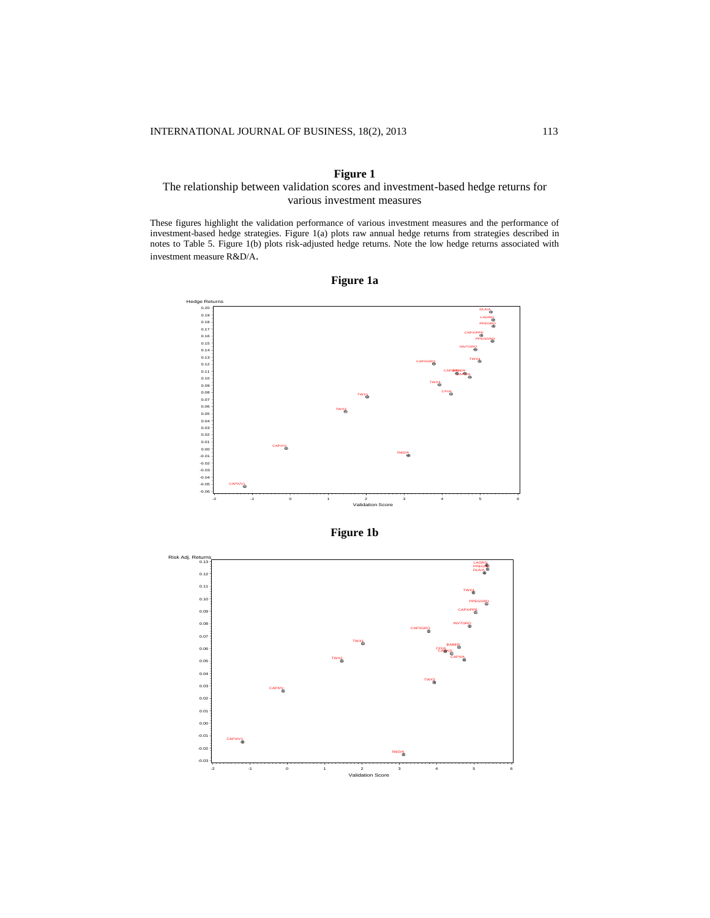# **Figure 1**

# The relationship between validation scores and investment-based hedge returns for various investment measures

These figures highlight the validation performance of various investment measures and the performance of investment-based hedge strategies. Figure 1(a) plots raw annual hedge returns from strategies described in notes to Table 5. Figure 1(b) plots risk-adjusted hedge returns. Note the low hedge returns associated with investment measure R&D/A.







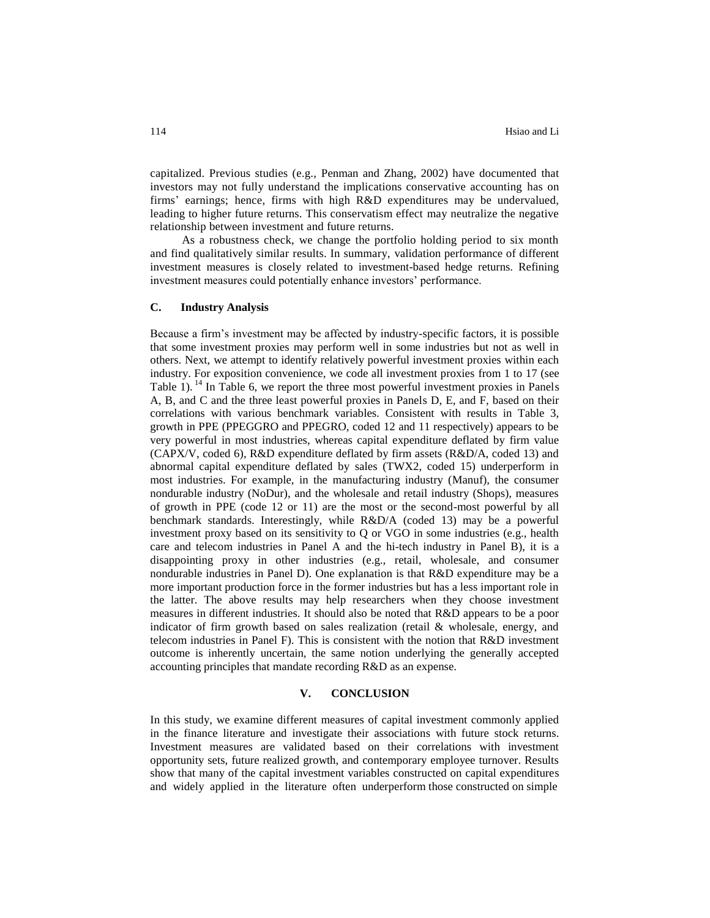capitalized. Previous studies (e.g., Penman and Zhang, 2002) have documented that investors may not fully understand the implications conservative accounting has on firms' earnings; hence, firms with high R&D expenditures may be undervalued, leading to higher future returns. This conservatism effect may neutralize the negative relationship between investment and future returns.

As a robustness check, we change the portfolio holding period to six month and find qualitatively similar results. In summary, validation performance of different investment measures is closely related to investment-based hedge returns. Refining investment measures could potentially enhance investors' performance.

# **C. Industry Analysis**

Because a firm's investment may be affected by industry-specific factors, it is possible that some investment proxies may perform well in some industries but not as well in others. Next, we attempt to identify relatively powerful investment proxies within each industry. For exposition convenience, we code all investment proxies from 1 to 17 (see Table  $1$ ). <sup>14</sup> In Table 6, we report the three most powerful investment proxies in Panels A, B, and C and the three least powerful proxies in Panels D, E, and F, based on their correlations with various benchmark variables. Consistent with results in Table 3, growth in PPE (PPEGGRO and PPEGRO, coded 12 and 11 respectively) appears to be very powerful in most industries, whereas capital expenditure deflated by firm value (CAPX/V, coded 6), R&D expenditure deflated by firm assets (R&D/A, coded 13) and abnormal capital expenditure deflated by sales (TWX2, coded 15) underperform in most industries. For example, in the manufacturing industry (Manuf), the consumer nondurable industry (NoDur), and the wholesale and retail industry (Shops), measures of growth in PPE (code 12 or 11) are the most or the second-most powerful by all benchmark standards. Interestingly, while R&D/A (coded 13) may be a powerful investment proxy based on its sensitivity to Q or VGO in some industries (e.g., health care and telecom industries in Panel A and the hi-tech industry in Panel B), it is a disappointing proxy in other industries (e.g., retail, wholesale, and consumer nondurable industries in Panel D). One explanation is that R&D expenditure may be a more important production force in the former industries but has a less important role in the latter. The above results may help researchers when they choose investment measures in different industries. It should also be noted that R&D appears to be a poor indicator of firm growth based on sales realization (retail  $\&$  wholesale, energy, and telecom industries in Panel F). This is consistent with the notion that R&D investment outcome is inherently uncertain, the same notion underlying the generally accepted accounting principles that mandate recording R&D as an expense.

### **V. CONCLUSION**

In this study, we examine different measures of capital investment commonly applied in the finance literature and investigate their associations with future stock returns. Investment measures are validated based on their correlations with investment opportunity sets, future realized growth, and contemporary employee turnover. Results show that many of the capital investment variables constructed on capital expenditures and widely applied in the literature often underperform those constructed on simple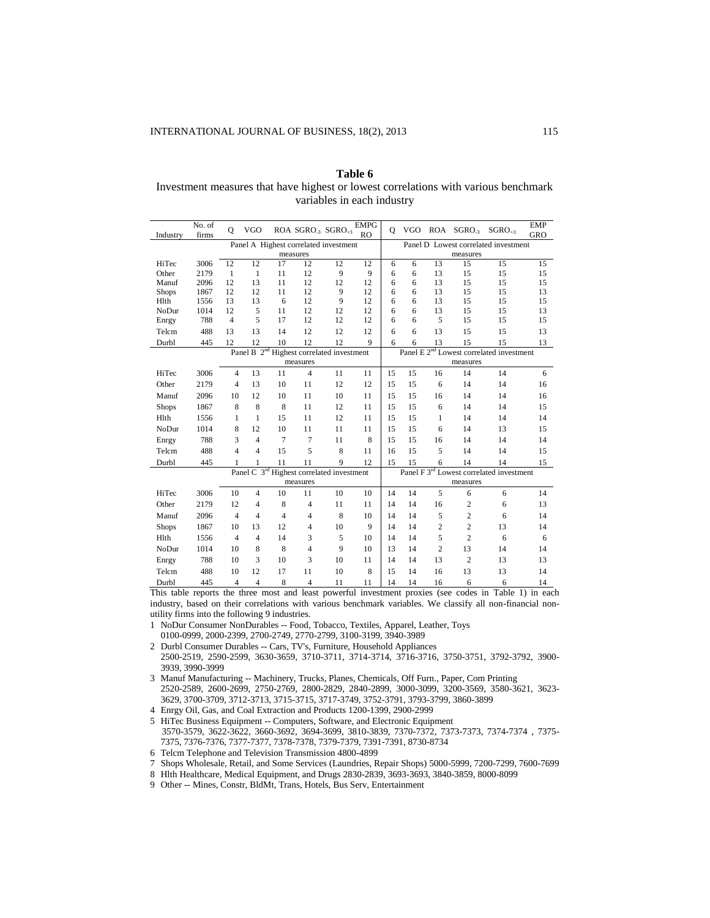**Table 6** Investment measures that have highest or lowest correlations with various benchmark variables in each industry

| Industry     | No. of<br>firms | $\mathbf{O}$   | <b>VGO</b>     |                | ROA SGRO <sub>3</sub> SGRO <sub>43</sub>              |    | <b>EMPG</b><br>R <sub>O</sub> | $\mathbf{O}$ | VGO. |                | ROA SGRO <sub>3</sub> | $SGRO_{+3}$                                          | <b>EMP</b><br><b>GRO</b> |
|--------------|-----------------|----------------|----------------|----------------|-------------------------------------------------------|----|-------------------------------|--------------|------|----------------|-----------------------|------------------------------------------------------|--------------------------|
|              |                 |                |                |                | Panel A Highest correlated investment                 |    |                               |              |      |                |                       | Panel D Lowest correlated investment                 |                          |
|              |                 |                |                |                | measures                                              |    |                               | measures     |      |                |                       |                                                      |                          |
| HiTec        | 3006            | 12             | 12             | 17             | 12                                                    | 12 | 12                            | 6            | 6    | 13             | 15                    | 15                                                   | 15                       |
| Other        | 2179            | $\mathbf{1}$   | $\mathbf{1}$   | 11             | 12                                                    | 9  | 9                             | 6            | 6    | 13             | 15                    | 15                                                   | 15                       |
| Manuf        | 2096            | 12             | 13             | 11             | 12                                                    | 12 | 12                            | 6            | 6    | 13             | 15                    | 15                                                   | 15                       |
| <b>Shops</b> | 1867            | 12             | 12             | 11             | 12                                                    | 9  | 12                            | 6            | 6    | 13             | 15                    | 15                                                   | 13                       |
| Hlth         | 1556            | 13             | 13             | 6              | 12                                                    | 9  | 12                            | 6            | 6    | 13             | 15                    | 15                                                   | 15                       |
| NoDur        | 1014            | 12             | 5              | 11             | 12                                                    | 12 | 12                            | 6            | 6    | 13             | 15                    | 15                                                   | 13                       |
| Enrgy        | 788             | 4              | 5              | 17             | 12                                                    | 12 | 12                            | 6            | 6    | 5              | 15                    | 15                                                   | 15                       |
| Telcm        | 488             | 13             | 13             | 14             | 12                                                    | 12 | 12                            | 6            | 6    | 13             | 15                    | 15                                                   | 13                       |
| Durbl        | 445             | 12             | 12             | 10             | 12                                                    | 12 | 9                             | 6            | 6    | 13             | 15                    | 15                                                   | 13                       |
|              |                 |                |                |                | Panel B 2 <sup>nd</sup> Highest correlated investment |    |                               |              |      |                |                       | Panel E 2 <sup>nd</sup> Lowest correlated investment |                          |
|              |                 |                |                |                | measures                                              |    |                               |              |      |                | measures              |                                                      |                          |
| HiTec        | 3006            | $\overline{4}$ | 13             | 11             | $\overline{4}$                                        | 11 | 11                            | 15           | 15   | 16             | 14                    | 14                                                   | 6                        |
| Other        | 2179            | $\overline{4}$ | 13             | 10             | 11                                                    | 12 | 12                            | 15           | 15   | 6              | 14                    | 14                                                   | 16                       |
| Manuf        | 2096            | 10             | 12             | 10             | 11                                                    | 10 | 11                            | 15           | 15   | 16             | 14                    | 14                                                   | 16                       |
| <b>Shops</b> | 1867            | 8              | 8              | 8              | 11                                                    | 12 | 11                            | 15           | 15   | 6              | 14                    | 14                                                   | 15                       |
| Hlth         | 1556            | 1              | $\mathbf{1}$   | 15             | 11                                                    | 12 | 11                            | 15           | 15   | 1              | 14                    | 14                                                   | 14                       |
| NoDur        | 1014            | 8              | 12             | 10             | 11                                                    | 11 | 11                            | 15           | 15   | 6              | 14                    | 13                                                   | 15                       |
| Enrgy        | 788             | 3              | $\overline{4}$ | 7              | 7                                                     | 11 | 8                             | 15           | 15   | 16             | 14                    | 14                                                   | 14                       |
| Telcm        | 488             | $\overline{4}$ | $\overline{4}$ | 15             | 5                                                     | 8  | 11                            | 16           | 15   | 5              | 14                    | 14                                                   | 15                       |
| Durbl        | 445             | 1              | 1              | 11             | 11                                                    | 9  | 12                            | 15           | 15   | 6              | 14                    | 14                                                   | 15                       |
|              |                 |                | Panel C 3rd    |                | Highest correlated investment                         |    |                               |              |      |                |                       | Panel F 3 <sup>rd</sup> Lowest correlated investment |                          |
|              |                 |                |                |                | measures                                              |    |                               |              |      |                | measures              |                                                      |                          |
| HiTec        | 3006            | 10             | $\overline{4}$ | 10             | 11                                                    | 10 | 10                            | 14           | 14   | 5              | 6                     | 6                                                    | 14                       |
| Other        | 2179            | 12             | $\overline{4}$ | 8              | $\overline{\mathcal{L}}$                              | 11 | 11                            | 14           | 14   | 16             | 2                     | 6                                                    | 13                       |
| Manuf        | 2096            | $\overline{4}$ | $\overline{4}$ | $\overline{4}$ | $\overline{4}$                                        | 8  | 10                            | 14           | 14   | 5              | 2                     | 6                                                    | 14                       |
| <b>Shops</b> | 1867            | 10             | 13             | 12             | $\overline{4}$                                        | 10 | 9                             | 14           | 14   | $\overline{c}$ | $\overline{c}$        | 13                                                   | 14                       |
| Hlth         | 1556            | $\overline{4}$ | $\overline{4}$ | 14             | 3                                                     | 5  | 10                            | 14           | 14   | 5              | $\overline{c}$        | 6                                                    | 6                        |
| NoDur        | 1014            | 10             | 8              | 8              | $\overline{4}$                                        | 9  | 10                            | 13           | 14   | $\overline{c}$ | 13                    | 14                                                   | 14                       |
| Enrgy        | 788             | 10             | 3              | 10             | 3                                                     | 10 | 11                            | 14           | 14   | 13             | $\overline{c}$        | 13                                                   | 13                       |
| Telcm        | 488             | 10             | 12             | 17             | 11                                                    | 10 | 8                             | 15           | 14   | 16             | 13                    | 13                                                   | 14                       |
| Durbl        | 445             | $\overline{4}$ | $\overline{4}$ | 8              | 4                                                     | 11 | 11                            | 14           | 14   | 16             | 6                     | 6                                                    | 14                       |

This table reports the three most and least powerful investment proxies (see codes in Table 1) in each industry, based on their correlations with various benchmark variables. We classify all non-financial nonutility firms into the following 9 industries.

- 1 NoDur Consumer NonDurables -- Food, Tobacco, Textiles, Apparel, Leather, Toys 0100-0999, 2000-2399, 2700-2749, 2770-2799, 3100-3199, 3940-3989
- 2 Durbl Consumer Durables -- Cars, TV's, Furniture, Household Appliances 2500-2519, 2590-2599, 3630-3659, 3710-3711, 3714-3714, 3716-3716, 3750-3751, 3792-3792, 3900- 3939, 3990-3999
- 3 Manuf Manufacturing -- Machinery, Trucks, Planes, Chemicals, Off Furn., Paper, Com Printing 2520-2589, 2600-2699, 2750-2769, 2800-2829, 2840-2899, 3000-3099, 3200-3569, 3580-3621, 3623- 3629, 3700-3709, 3712-3713, 3715-3715, 3717-3749, 3752-3791, 3793-3799, 3860-3899
- 4 Enrgy Oil, Gas, and Coal Extraction and Products 1200-1399, 2900-2999
- 5 HiTec Business Equipment -- Computers, Software, and Electronic Equipment 3570-3579, 3622-3622, 3660-3692, 3694-3699, 3810-3839, 7370-7372, 7373-7373, 7374-7374 , 7375- 7375, 7376-7376, 7377-7377, 7378-7378, 7379-7379, 7391-7391, 8730-8734
- 6 Telcm Telephone and Television Transmission 4800-4899
- 7 Shops Wholesale, Retail, and Some Services (Laundries, Repair Shops) 5000-5999, 7200-7299, 7600-7699
- 8 Hlth Healthcare, Medical Equipment, and Drugs 2830-2839, 3693-3693, 3840-3859, 8000-8099

9 Other -- Mines, Constr, BldMt, Trans, Hotels, Bus Serv, Entertainment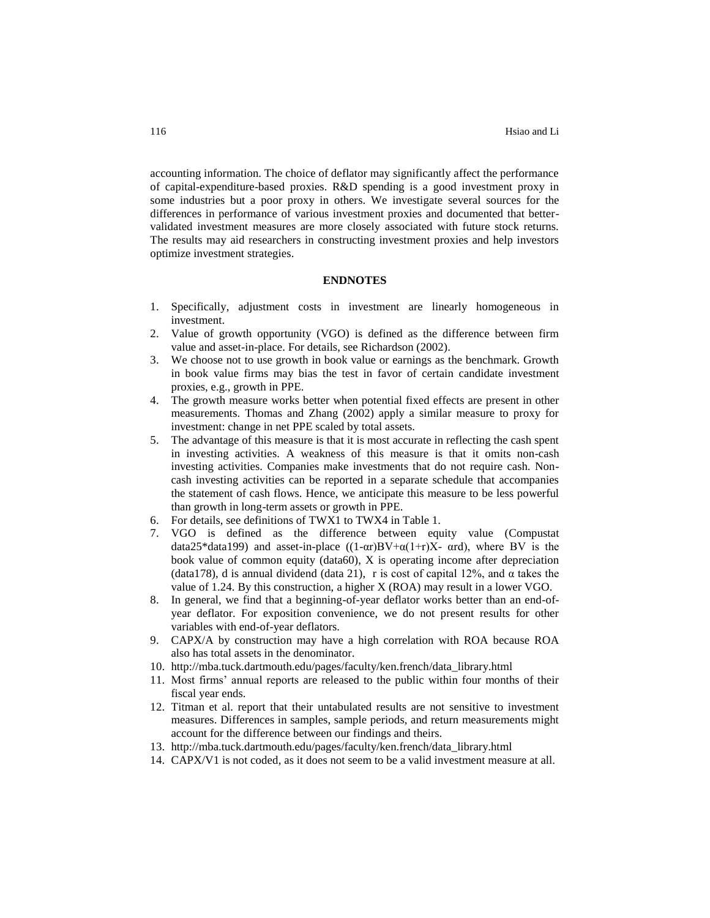accounting information. The choice of deflator may significantly affect the performance of capital-expenditure-based proxies. R&D spending is a good investment proxy in some industries but a poor proxy in others. We investigate several sources for the differences in performance of various investment proxies and documented that bettervalidated investment measures are more closely associated with future stock returns. The results may aid researchers in constructing investment proxies and help investors optimize investment strategies.

# **ENDNOTES**

- 1. Specifically, adjustment costs in investment are linearly homogeneous in investment.
- 2. Value of growth opportunity (VGO) is defined as the difference between firm value and asset-in-place. For details, see Richardson (2002).
- 3. We choose not to use growth in book value or earnings as the benchmark. Growth in book value firms may bias the test in favor of certain candidate investment proxies, e.g., growth in PPE.
- 4. The growth measure works better when potential fixed effects are present in other measurements. Thomas and Zhang (2002) apply a similar measure to proxy for investment: change in net PPE scaled by total assets.
- 5. The advantage of this measure is that it is most accurate in reflecting the cash spent in investing activities. A weakness of this measure is that it omits non-cash investing activities. Companies make investments that do not require cash. Noncash investing activities can be reported in a separate schedule that accompanies the statement of cash flows. Hence, we anticipate this measure to be less powerful than growth in long-term assets or growth in PPE.
- 6. For details, see definitions of TWX1 to TWX4 in Table 1.
- 7. VGO is defined as the difference between equity value (Compustat data25\*data199) and asset-in-place  $((1-\alpha r)BV+\alpha(1+r)X- \alpha rd)$ , where BV is the book value of common equity (data60), X is operating income after depreciation (data178), d is annual dividend (data 21), r is cost of capital 12%, and  $\alpha$  takes the value of 1.24. By this construction, a higher X (ROA) may result in a lower VGO.
- 8. In general, we find that a beginning-of-year deflator works better than an end-ofyear deflator. For exposition convenience, we do not present results for other variables with end-of-year deflators.
- 9. CAPX/A by construction may have a high correlation with ROA because ROA also has total assets in the denominator.
- 10. [http://mba.tuck.dartmouth.edu/pages/faculty/ken.french/data\\_library.html](http://mba.tuck.dartmouth.edu/pages/faculty/ken.french/)
- 11. Most firms' annual reports are released to the public within four months of their fiscal year ends.
- 12. Titman et al. report that their untabulated results are not sensitive to investment measures. Differences in samples, sample periods, and return measurements might account for the difference between our findings and theirs.
- 13. http://mba.tuck.dartmouth.edu/pages/faculty/ken.french/data\_library.html
- 14. CAPX/V1 is not coded, as it does not seem to be a valid investment measure at all.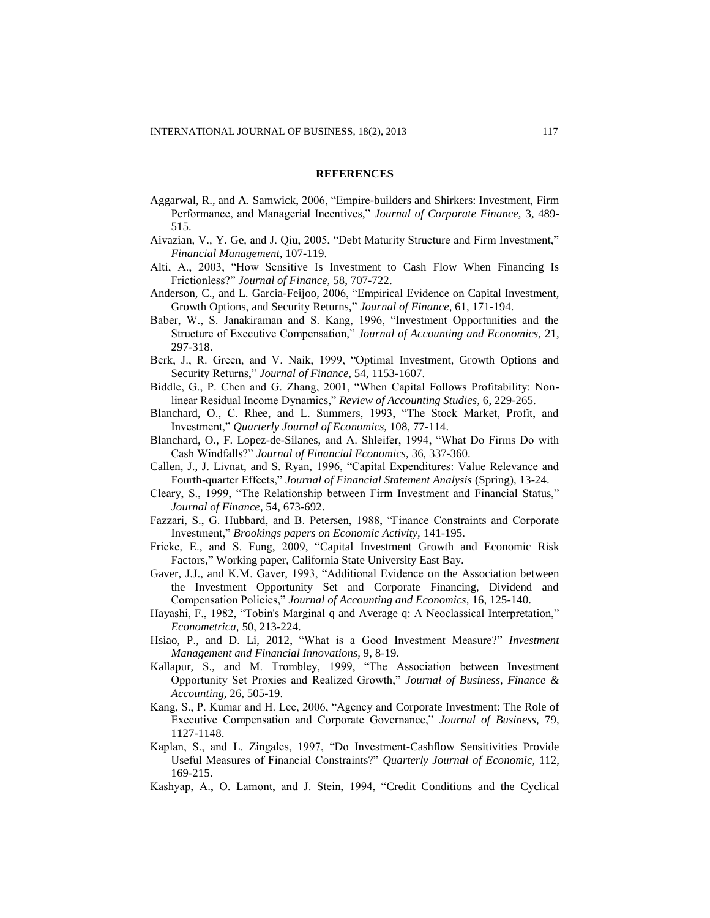#### **REFERENCES**

- Aggarwal, R., and A. Samwick, 2006, "Empire-builders and Shirkers: Investment, Firm Performance, and Managerial Incentives," *Journal of Corporate Finance,* 3, 489- 515.
- Aivazian, V., Y. Ge, and J. Qiu, 2005, "Debt Maturity Structure and Firm Investment," *Financial Management,* 107-119.
- Alti, A., 2003, "How Sensitive Is Investment to Cash Flow When Financing Is Frictionless?" *Journal of Finance,* 58, 707-722.
- Anderson*,* C., and L*.* Garcia*-*Feijoo*,* 2006, "Empirical Evidence on Capital Investment*,* Growth Options, and Security Returns," *Journal of Finance,* 61, 171-194.
- Baber, W., S. Janakiraman and S. Kang, 1996, "Investment Opportunities and the Structure of Executive Compensation," *Journal of Accounting and Economics,* 21, 297-318.
- Berk, J., R. Green, and V. Naik, 1999, "Optimal Investment, Growth Options and Security Returns," *Journal of Finance,* 54, 1153-1607.
- Biddle, G., P. Chen and G. Zhang, 2001, "When Capital Follows Profitability: Nonlinear Residual Income Dynamics," *Review of Accounting Studies,* 6, 229-265.
- Blanchard, O., C. Rhee, and L. Summers, 1993, "The Stock Market, Profit, and Investment," *Quarterly Journal of Economics,* 108, 77-114.
- Blanchard, O., F. Lopez-de-Silanes, and A. Shleifer, 1994, "What Do Firms Do with Cash Windfalls?" *Journal of Financial Economics,* 36, 337-360.
- Callen, J., J. Livnat, and S. Ryan, 1996, "Capital Expenditures: Value Relevance and Fourth-quarter Effects," *Journal of Financial Statement Analysis* (Spring), 13-24.
- Cleary, S., 1999, "The Relationship between Firm Investment and Financial Status," *Journal of Finance,* 54, 673-692.
- Fazzari, S., G. Hubbard, and B. Petersen, 1988, "Finance Constraints and Corporate Investment," *Brookings papers on Economic Activity,* 141-195.
- Fricke, E., and S. Fung, 2009, "Capital Investment Growth and Economic Risk Factors," Working paper, California State University East Bay*.*
- Gaver, J.J., and K.M. Gaver, 1993, "Additional Evidence on the Association between the Investment Opportunity Set and Corporate Financing, Dividend and Compensation Policies," *Journal of Accounting and Economics,* 16, 125-140.
- Hayashi, F., 1982, "Tobin's Marginal q and Average q: A Neoclassical Interpretation," *Econometrica,* 50, 213-224.
- Hsiao, P., and D. Li, 2012, "What is a Good Investment Measure?" *Investment Management and Financial Innovations,* 9, 8-19.
- Kallapur, S., and M. Trombley, 1999, "The Association between Investment Opportunity Set Proxies and Realized Growth," *Journal of Business, Finance & Accounting,* 26, 505-19.
- Kang, S., P. Kumar and H. Lee, 2006, "Agency and Corporate Investment: The Role of Executive Compensation and Corporate Governance," *Journal of Business,* 79, 1127-1148.
- Kaplan, S., and L. Zingales, 1997, "Do Investment-Cashflow Sensitivities Provide Useful Measures of Financial Constraints?" *Quarterly Journal of Economic,* 112, 169-215.
- Kashyap, A., O. Lamont, and J. Stein, 1994, "Credit Conditions and the Cyclical